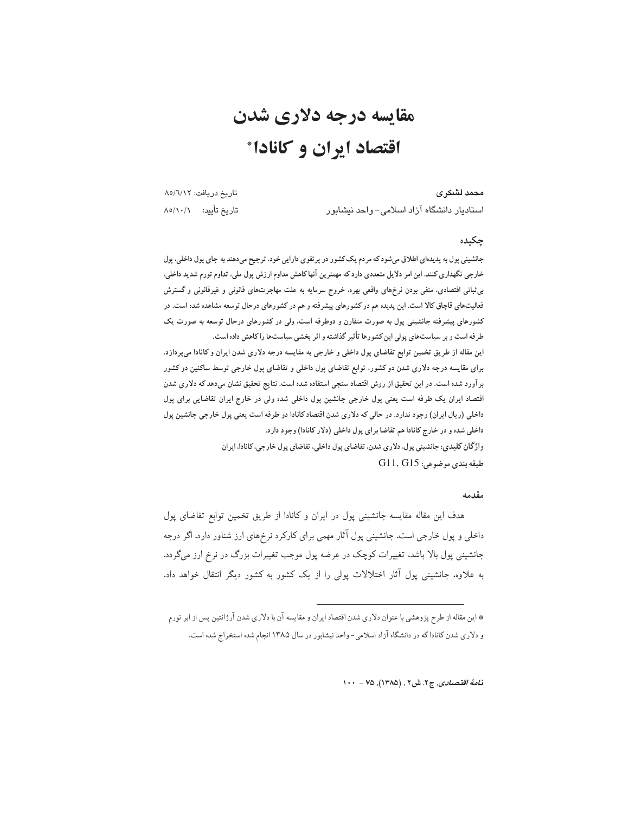# مقايسه درجه دلاري شدن اقتصاد ایران و کانادا\*

محمد لشكرى استادیار دانشگاه آزاد اسلامی-واحد نیشابور

تاریخ دریافت: ۸۵/٦/۱۲ تاريخ تأييد: ٨٥/١٠/١

#### چکیده

جانشینی پول به پدیدهای اطلاق میشود که مردم یک کشور در پرتفوی دارایی خود، ترجیح میدهند به جای پول داخلی، پول خارجی نگهداری کنند. این امر دلایل متعددی دارد که مهمترین آنها کاهش مداوم ارزش پول ملی، تداوم تورم شدید داخلی، بی ثباتی اقتصادی، منفی بودن نرخهای واقعی بهره، خروج سرمایه به علت مهاجرتهای قانونی و غیرقانونی و گسترش فعالیتهای قاچاق کالا است. این پدیده هم در کشورهای پیشرفته و هم در کشورهای درحال توسعه مشاهده شده است. در کشورهای پیشرفته جانشینی پول به صورت متقارن و دوطرفه است. ولی در کشورهای درحال توسعه به صورت یک طرفه است و بر سیاست های پولی این کشورها تأثیر گذاشته و اثر بخشی سیاست ها را کاهش داده است.

این مقاله از طریق تخمین توابع تقاضای پول داخلی و خارجی به مقایسه درجه دلاری شدن ایران و کانادا میپردازد. برای مقایسه درجه دلاری شدن دو کشور، توابع تقاضای پول داخلی و تقاضای پول خارجی توسط ساکنین دو کشور برآورد شده است. در این تحقیق از روش اقتصاد سنجی استفاده شده است. نتایج تحقیق نشان میدهد که دلاری شدن اقتصاد ایران یک طرفه است یعنی پول خارجی جانشین پول داخلی شده ولی در خارج ایران تقاضایی برای پول داخلی (ریال ایران) وجود ندارد. در حالی که دلاری شدن اقتصاد کانادا دو طرفه است یعنی پول خارجی جانشین پول داخلی شده و در خارج کانادا هم تقاضا برای پول داخلی (دلار کانادا) وجود دارد. واژگان کلیدی: جانشینی پول، دلاری شدن، تقاضای پول داخلی، تقاضای پول خارجی، کانادا، ایران

 $G11, G15$ : طبقه بندي موضوعي

#### مقدمه

هدف این مقاله مقایسه جانشینی پول در ایران و کانادا از طریق تخمین توابع تقاضای پول داخلی و پول خارجی است. جانشینی پول آثار مهمی برای کارکرد نرخهای ارز شناور دارد. اگر درجه جانشینی پول بالا باشد، تغییرات کوچک در عرضه پول موجب تغییرات بزرگ در نرخ ارز میگردد. به علاوه. جانشینی پول آثار اختلالات پولی را از یک کشور به کشور دیگر انتقال خواهد داد.

*نامهٔ اقتصادی, ج*۲. ش۲ , (۱۳۸۵), ۷۵ – ۱۰۰

<sup>\*</sup> این مقاله از طرح پژوهشی با عنوان دلاری شدن اقتصاد ایران و مقایسه آن با دلاری شدن آرژانتین پس از ابر تورم و دلاری شدن کاناداکه در دانشگاه آزاد اسلامی-واحد نیشابور در سال ۱۳۸۵ انجام شده استخراج شده است.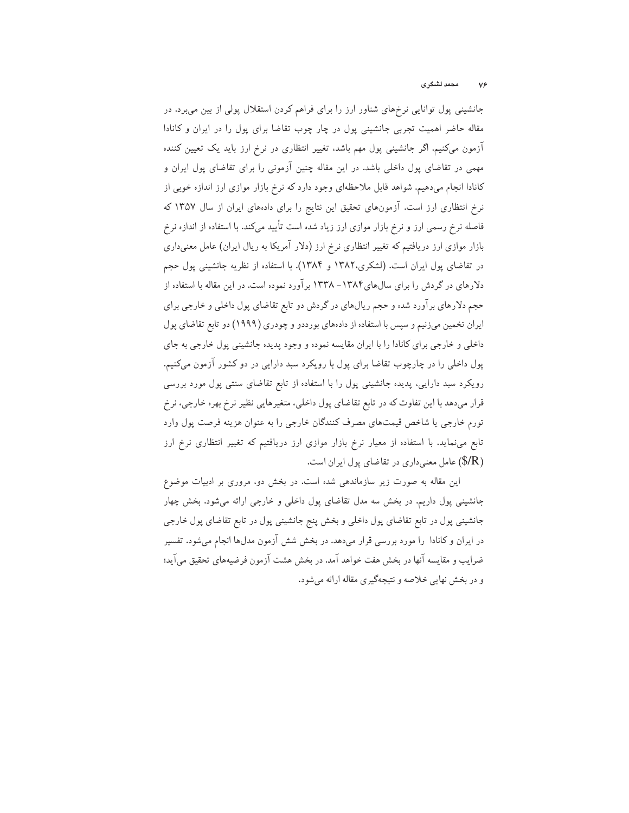جانشینی پول توانایی نرخهای شناور ارز را برای فراهم کردن استقلال پولی از بین می برد. در مقاله حاضر اهمیت تجربی جانشینی پول در چار چوب تقاضا برای پول را در ایران و کانادا آزمون میکنیم. اگر جانشینی پول مهم باشد. تغییر انتظاری در نرخ ارز باید یک تعیین کننده مهمی در تقاضای پول داخلی باشد. در این مقاله چنین آزمونی را برای تقاضای پول ایران و کانادا انجام میدهیم. شواهد قابل ملاحظهای وجود دارد که نرخ بازار موازی ارز اندازه خوبی از نرخ انتظاری ارز است. آزمونهای تحقیق این نتایج را برای دادههای ایران از سال ۱۳۵۷ که فاصله نرخ رسمی ارز و نرخ بازار موازی ارز زیاد شده است تأیید میکند. با استفاده از اندازه نرخ بازار موازی ارز دریافتیم که تغییر انتظاری نرخ ارز (دلار آمریکا به ریال ایران) عامل معنیداری در تقاضای یول ایران است. (لشکری،۱۳۸۲ و ۱۳۸۴). با استفاده از نظریه جانشینی پول حجم دلارهای در گردش را برای سالهای۱۳۸۴ – ۱۳۳۸ برآورد نموده است. در این مقاله با استفاده از حجم دلارهای برآورد شده و حجم ریالهای در گردش دو تابع تقاضای پول داخلی و خارجی برای ایران تخمین میزنیم و سپس با استفاده از دادههای بورددو و چودری (۱۹۹۹) دو تابع تقاضای پول داخلی و خارجی برای کانادا را با ایران مقایسه نموده و وجود پدیده جانشینی پول خارجی به جای پول داخلی را در چارچوب تقاضا برای پول با رویکرد سبد دارایی در دو کشور آزمون میکنیم. رویکرد سبد دارایی، پدیده جانشینی پول را با استفاده از تابع تقاضای سنتی پول مورد بررسی قرار میدهد با این تفاوت که در تابع تقاضای پول داخلی، متغیرهایی نظیر نرخ بهره خارجی، نرخ تورم خارجي يا شاخص قيمتهاي مصرف كنندگان خارجي را به عنوان هزينه فرصت پول وارد تابع مینماید. با استفاده از معیار نرخ بازار موازی ارز دریافتیم که تغییر انتظاری نرخ ارز (\$/R) عامل معنیداری در تقاضای پول ایران است.

این مقاله به صورت زیر سازماندهی شده است. در بخش دو، مروری بر ادبیات موضوع جانشینی پول داریم. در بخش سه مدل تقاضای پول داخلی و خارجی ارائه میشود. بخش چهار جانشینی پول در تابع تقاضای پول داخلی و بخش پنج جانشینی پول در تابع تقاضای پول خارجی در ایران و کانادا را مورد بررسی قرار میدهد. در بخش شش آزمون مدلها انجام میشود. تفسیر ضرایب و مقایسه آنها در بخش هفت خواهد آمد. در بخش هشت آزمون فرضیههای تحقیق می آید؛ و در بخش نهایی خلاصه و نتیجهگیری مقاله ارائه می شود.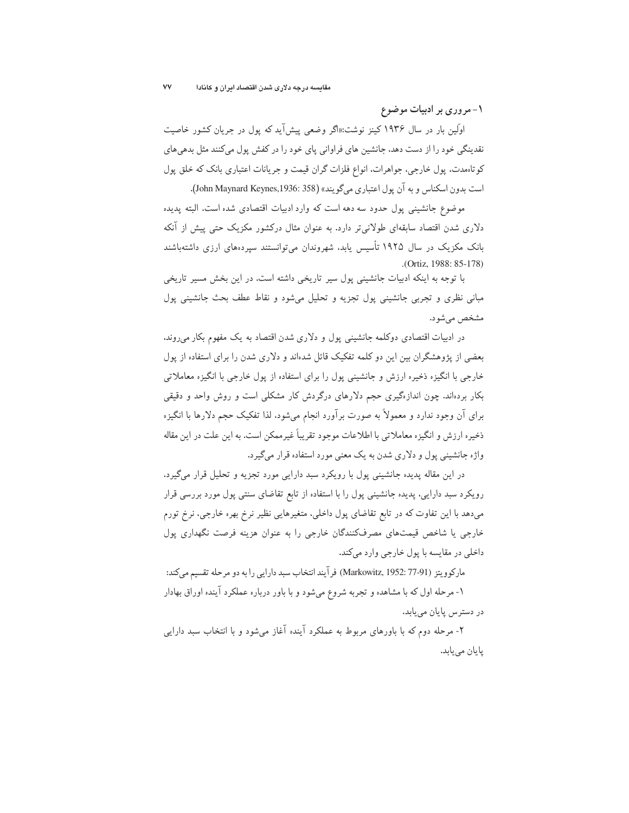۱- مروری بر ادبیات موضوع

اولین بار در سال ۱۹۳۶ کینز نوشت:«اگر وضعی پیشآید که پول در جریان کشور خاصیت نقدینگی خود را از دست دهد، جانشین های فراوانی پای خود را در کفش پول میکنند مثل بدهی های کوتاهمدت، پول خارجی، جواهرات، انواع فلزات گران قیمت و جریانات اعتباری بانک که خلق پول است بدون اسكناس و به آن يول اعتباري ميگويند» (John Maynard Keynes,1936: 358).

موضوع جانشینی پول حدود سه دهه است که وارد ادبیات اقتصادی شده است. البته پدیده دلاری شدن اقتصاد سابقهای طولانی تر دارد. به عنوان مثال درکشور مکزیک حتی پیش از آنکه بانک مکزیک در سال ۱۹۲۵ تأسیس پابد، شهروندان میتوانستند سیردههای ارزی داشتهباشند .(Ortiz. 1988: 85-178)

با توجه به اینکه ادبیات جانشینی پول سیر تاریخی داشته است. در این بخش مسیر تاریخی مبانی نظری و تجربی جانشینی پول تجزیه و تحلیل میشود و نقاط عطف بحث جانشینی پول مشخص مے شو د.

در ادبیات اقتصادی دوکلمه جانشینی پول و دلاری شدن اقتصاد به یک مفهوم بکار می روند. بعضی از یژوهشگران بین این دو کلمه تفکیک قائل شدهاند و دلاری شدن را برای استفاده از یول خارجی با انگیزه ذخیره ارزش و جانشینی پول را برای استفاده از پول خارجی با انگیزه معاملاتی بکار بردهاند. چون اندازهگیری حجم دلارهای درگردش کار مشکلی است و روش واحد و دقیقی برای آن وجود ندارد و معمولاً به صورت برآورد انجام میشود. لذا تفکیک حجم دلارها با انگیزه ذخیره ارزش و انگیزه معاملاتی با اطلاعات موجود تقریباً غیرممکن است. به این علت در این مقاله واژه حانشینی یول و دلاری شدن به یک معنی مورد استفاده قرار می گیرد.

در این مقاله پدیده جانشینی پول با رویکرد سبد دارایی مورد تجزیه و تحلیل قرار میگیرد. رویکرد سبد دارایی، پدیده جانشینی پول را با استفاده از تابع تقاضای سنتی پول مورد بررسی قرار میدهد با این تفاوت که در تابع تقاضای پول داخلی، متغیرهایی نظیر نرخ بهره خارجی، نرخ تورم خارجی یا شاخص قیمتهای مصرفکنندگان خارجی را به عنوان هزینه فرصت نگهداری پول داخلي در مقايسه با يول خارجي وارد ميكند.

ماركوويتز (Markowitz, 1952: 77-91) فرآيند انتخاب سبد دارايي را به دو مرحله تقسيم ميكند: ۱- مرحله اول که با مشاهده و تجربه شروع میشود و با باور درباره عملکرد آینده اوراق بهادار

در دسترس پایان می یابد.

۲- مرحله دوم که با باورهای مربوط به عملکرد آینده آغاز میشود و با انتخاب سبد دارایی پایان مییابد.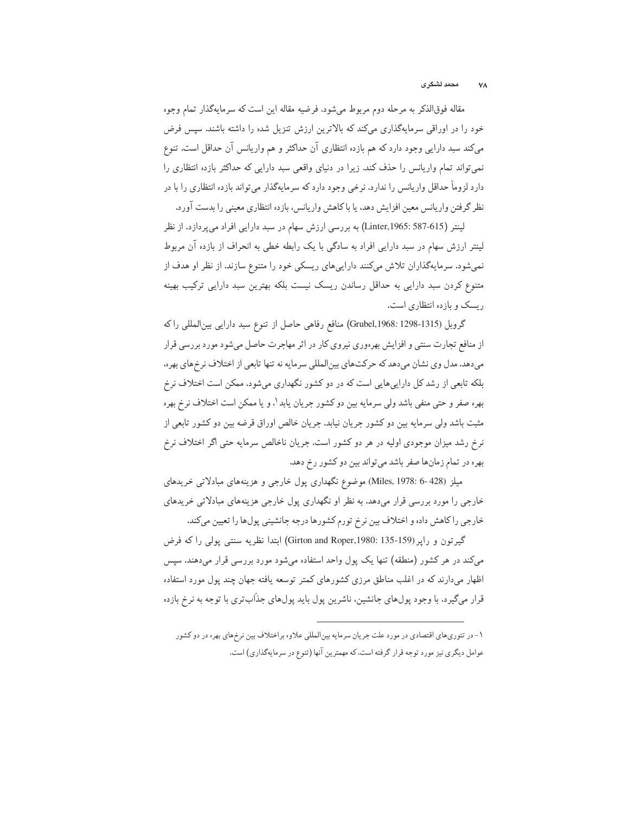مقاله فوق|لذکر به مرحله دوم مربوط میشود. فرضیه مقاله این است که سرمایهگذار تمام وجوه خود را در اوراقی سرمایهگذاری میکند که بالاترین ارزش تنزیل شده را داشته باشند. سپس فرض میکند سبد دارایی وجود دارد که هم بازده انتظاری آن حداکثر و هم واریانس آن حداقل است. تنوع نمیتواند تمام واریانس را حذف کند. زیرا در دنیای واقعی سبد دارایی که حداکثر بازده انتظاری را دارد لزوماً حداقل واریانس را ندارد. نرخی وجود دارد که سرمایهگذار میتواند بازده انتظاری را با در نظر گرفتن واریانس معین افزایش دهد، یا باکاهش واریانس، بازده انتظاری معینی را بدست آورد.

لینتر (Linter,1965: 587-615) به بررسی ارزش سهام در سبد دارایی افراد می پردازد. از نظر لینتر ارزش سهام در سبد دارایی افراد به سادگی با یک رابطه خطی به انحراف از بازده آن مربوط نمیشود. سرمایهگذاران تلاش میکنند داراییهای ریسکی خود را متنوع سازند. از نظر او هدف از متنوع کردن سبد دارایی به حداقل رساندن ریسک نیست بلکه بهترین سبد دارایی ترکیب بهینه ریسک و بازده انتظاری است.

گروبل (1315-1298: Grubel,1968) منافع رفاهي حاصل از تنوع سبد دارايي بين المللي راكه از منافع تجارت سنتبی و افزایش بهرهوری نیروی کار در اثر مهاجرت حاصل میشود مورد بررسی قرار می،دهد. مدل وی نشان می،دهد که حرکتهای بین المللی سرمایه نه تنها تابعی از اختلاف نرخهای بهره. بلکه تابعی از رشد کل داراییهایی است که در دو کشور نگهداری میشود. ممکن است اختلاف نرخ بهره صفر و حتى منفى باشد ولى سرمايه بين دو كشور جريان يابد '. و يا ممكن است اختلاف نرخ بهره مثبت باشد ولی سرمایه بین دو کشور جریان نیابد. جریان خالص اوراق قرضه بین دو کشور تابعی از نرخ رشد میزان موجودی اولیه در هر دو کشور است. جریان ناخالص سرمایه حتبی اگر اختلاف نرخ بهره در تمام زمانها صفر باشد میتواند بین دو کشور رخ دهد.

میلز (Miles, 1978: 6- 428) موضوع نگهداری یول خارجی و هزینههای مبادلاتی خریدهای خارجی را مورد بررسی قرار میدهد. به نظر او نگهداری پول خارجی هزینههای مبادلاتی خریدهای خارجي را كاهش داده و اختلاف بين نرخ تورم كشورها درجه جانشيني پولها را تعيين ميكند.

گیرتون و راپر (Girton and Roper,1980: 135-159) ابتدا نظریه سنتی پولی را که فرض میکند در هر کشور (منطقه) تنها یک یول واحد استفاده میشود مورد بررسی قرار میدهند. سیس اظهار می،دارند که در اغلب مناطق مرزی کشورهای کمتر توسعه یافته جهان چند پول مورد استفاده قرار میگیرد. با وجود پولهای جانشین، ناشرین پول باید پولهای جذاّبتری با توجه به نرخ بازده

۱-در تئوري هاي اقتصادي در مورد علت جريان سرمايه بين|لمللي علاوه براختلاف بين نرخهاي بهره در دو كشور عوامل دیگری نیز مورد توجه قرار گرفته است. که مهمترین آنها (تنوع در سرمایهگذاری) است.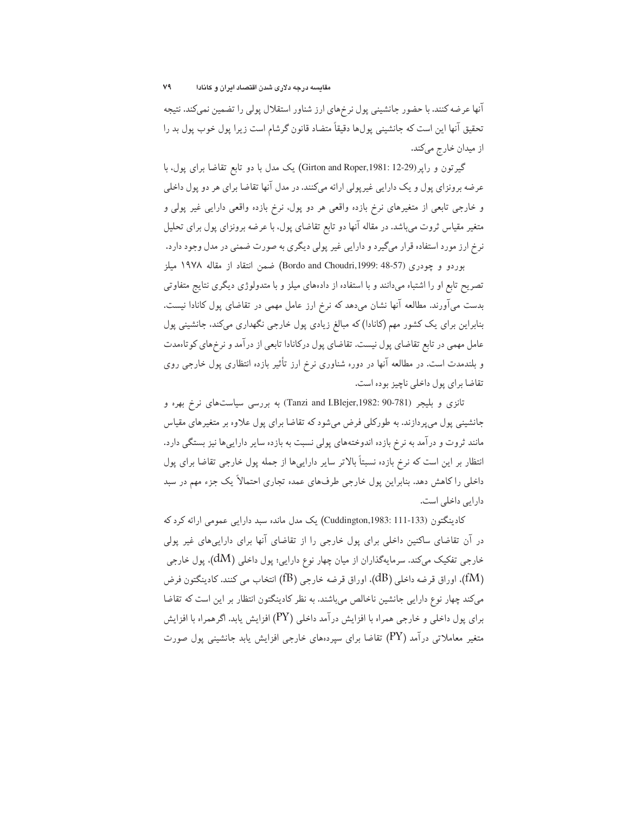آنها عرضه کنند. با حضور جانشینی پول نرخمای ارز شناور استقلال پولی را تضمین نمیکند. نتیجه تحقیق آنها این است که جانشینی پولها دقیقاً متضاد قانون گرشام است زیرا پول خوب پول بد را از میدان خارج میکند.

گیرتون و راپر(Girton and Roper,1981: 12-29) یک مدل با دو تابع تقاضا برای پول. با عرضه برونزای پول و یک دارایی غیرپولی ارائه میکنند. در مدل آنها تقاضا برای هر دو پول داخلی و خارجی تابعی از متغیرهای نرخ بازده واقعی هر دو پول، نرخ بازده واقعی دارایی غیر پولی و متغیر مقیاس ثروت می باشد. در مقاله آنها دو تابع تقاضای پول، با عرضه برونزای پول برای تحلیل نرخ ارز مورد استفاده قرار میگیرد و دارایی غیر پولی دیگری به صورت ضمنی در مدل وجود دارد.

بوردو و چودری (Bordo and Choudri,1999: 48-57) ضمن انتقاد از مقاله ۱۹۷۸ میلز تصریح تابع او را اشتباه میدانند و با استفاده از دادههای میلز و با متدولوژی دیگری نتایج متفاوتی بدست میآورند. مطالعه آنها نشان میدهد که نرخ ارز عامل مهمی در تقاضای پول کانادا نیست. بنابراین برای یک کشور مهم (کانادا) که مبالغ زیادی پول خارجی نگهداری میکند. جانشینی پول عامل مهمی در تابع تقاضای پول نیست. تقاضای پول درکانادا تابعی از درآمد و نرخهای کوتاهمدت و بلندمدت است. در مطالعه آنها در دوره شناوری نرخ ارز تأثیر بازده انتظاری پول خارجی روی تقاضا براي پول داخلي ناچيز بوده است.

.<br>تانزی و بلیجر (Tanzi and I.Blejer,1982: 90-781) به بررسی سیاستهای نرخ بهره و جانشینی پول میپردازند. به طورکلی فرض میشود که تقاضا برای پول علاوه بر متغیرهای مقیاس مانند ثروت و در آمد به نرخ بازده اندوختههای پولی نسبت به بازده سایر داراییها نیز بستگی دارد. انتظار بر این است که نرخ بازده نسبتاً بالاتر سایر داراییها از جمله پول خارجی تقاضا برای پول داخلی را کاهش دهد. بنابراین پول خارجی طرفهای عمده تجاری احتمالاً یک جزء مهم در سبد دارایی داخلی است.

کادینگتون (Cuddington,1983: 111-133) یک مدل مانده سبد دارایی عمومی ارائه کرد که در آن تقاضای ساکنین داخلی برای پول خارجی را از تقاضای آنها برای داراییهای غیر پولی خارجی تفکیک میکند. سرمایهگذاران از میان چهار نوع دارایی: پول داخلی (dM)، پول خارجی اوراق قرضه داخلی (dB)، اوراق قرضه خارجی (fB) انتخاب می کنند. کادینگتون فرض) (f $\rm M$ میکند چهار نوع دارایی جانشین ناخالص میباشند. به نظر کادینگتون انتظار بر این است که تقاضا برای یول داخلبی و خارجی همراه با افزایش درآمد داخلبی (PY) افزایش یابد. اگرهمراه با افزایش متغیر معاملاتی درآمد (PY) تقاضا برای سپردههای خارجی افزایش یابد جانشینبی پول صورت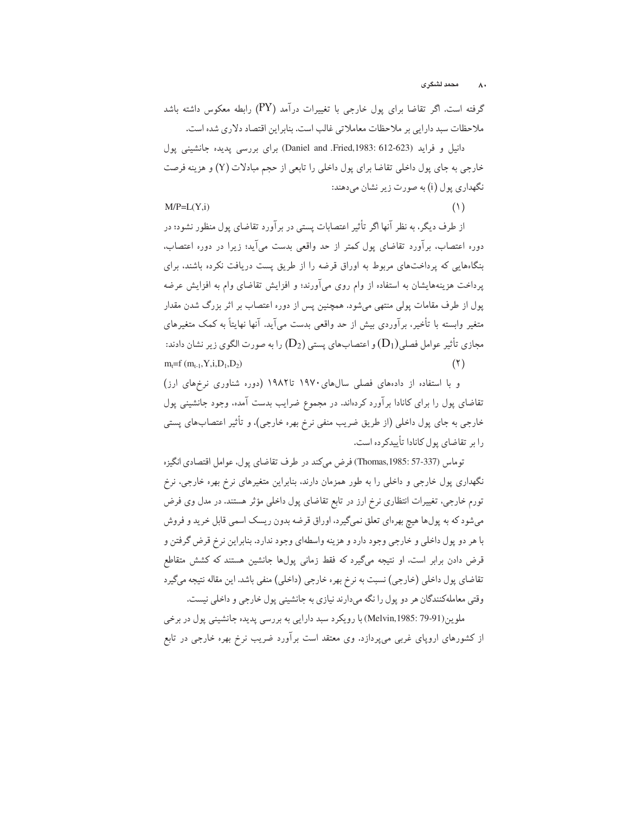#### محمد لشكري  $\Lambda$

 $(1)$ 

گرفته است. اگر تقاضا برای پول خارجی با تغییرات درآمد (PY) رابطه معکوس داشته باشد ملاحظات سبد دارایی بر ملاحظات معاملاتی غالب است. بنابراین اقتصاد دلاری شده است.

دانیل و فراید (Daniel and .Fried,1983: 612-623) برای بررسی پدیده جانشینی یول خارجی به جای پول داخلی تقاضا برای پول داخلی را تابعی از حجم مبادلات (Y) و هزینه فرصت نگهداری یول (i) به صورت زیر نشان می دهند:

#### $M/P=L(Y,i)$

از طرف دیگر، به نظر آنها اگر تأثیر اعتصابات پستی در بر آورد تقاضای پول منظور نشود؛ در دوره اعتصابٍ، برآورد تقاضاي يول كمتر از حد واقعي بدست مي آيد؛ زيرا در دوره اعتصابٍ. بنگاههایی که پرداختهای مربوط به اوراق قرضه را از طریق پست دریافت نکرده باشند، برای پرداخت هزینههایشان به استفاده از وام روی میآورند؛ و افزایش تقاضای وام به افزایش عرضه یول از طرف مقامات پولی منتهی میشود. همچنین پس از دوره اعتصاب بر اثر بزرگ شدن مقدار متغیر وابسته با تأخیر، برآوردی بیش از حد واقعی بدست میآید. آنها نهایتاً به کمک متغیرهای مجازي تأثير عوامل فصلي $(D_1)$ و اعتصابهاي يستبي ( $(D_2)$  را به صورت الگوي زير نشان دادند:  $m_i = f(m_{i-1}, Y, i, D_1, D_2)$  $(Y)$ 

و با استفاده از دادههای فصلی سال های ۱۹۷۰ تا۱۹۸۲ (دوره شناوری نرخ های ارز) تقاضای یول را برای کانادا برآورد کردهاند. در مجموع ضرایب بدست آمده، وجود جانشینی پول خارجي به جاي پول داخلي (از طريق ضريب منفي نرخ بهره خارجي). و تأثير اعتصابهاي پستي را بر تقاضای بول کانادا تأسدکرده است.

توماس (337-337 Thomas,1985:) فرض مي كند در طرف تقاضاي يول، عوامل اقتصادي انگيزه نگهداری پول خارجی و داخلی را به طور همزمان دارند. بنابراین متغیرهای نرخ بهره خارجی، نرخ تورم خارجی، تغییرات انتظاری نرخ ارز در تابع تقاضای پول داخلی مؤثر هستند. در مدل وی فرض میشود که به پولها هیچ بهرهای تعلق نمیگیرد، اوراق قرضه بدون ریسک اسمی قابل خرید و فروش با هر دو پول داخلي و خارجي وجود دارد و هزينه واسطهاي وجود ندارد. بنابراين نرخ قرض گرفتن و قرض دادن برابر است. او نتیجه میگیرد که فقط زمانی پولها جانشین هستند که کشش متقاطع تقاضای پول داخلی (خارجی) نسبت به نرخ بهره خارجی (داخلی) منفی باشد. این مقاله نتیجه میگیرد وقتی معاملهکنندگان هر دو پول را نگه میدارند نیازی به جانشینی پول خارجی و داخلی نیست.

ملوين(Melvin,1985: 79-91) با رويكرد سبد دارايي به بررسي پديده جانشيني پول در برخي از کشورهای اروپای غربی میپردازد. وی معتقد است برآورد ضریب نرخ بهره خارجی در تابع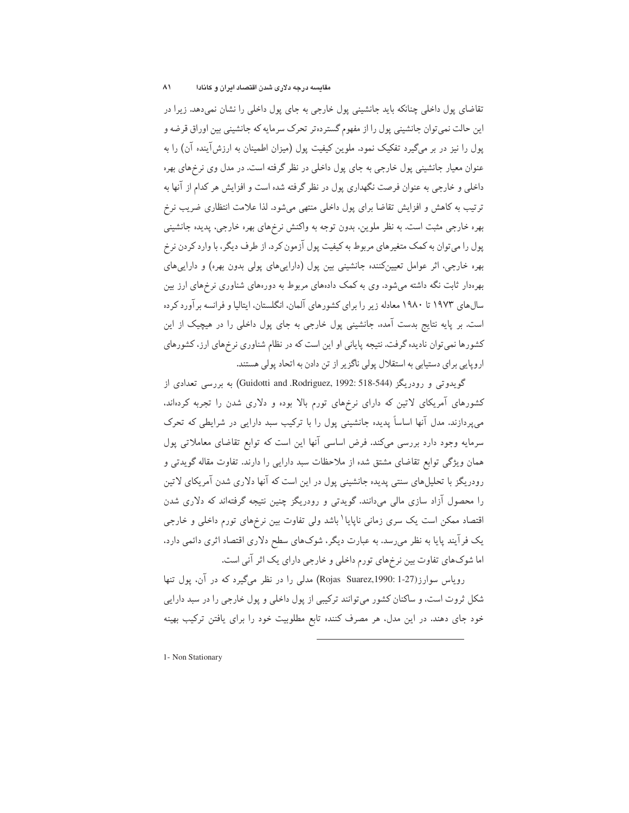تقاضای پول داخلی چنانکه باید جانشینی پول خارجی به جای پول داخلی را نشان نمیدهد. زیرا در این حالت نمیتوان جانشینی پول را از مفهوم گستردهتر تحرک سرمایه که جانشینی بین اوراق قرضه و یول را نیز در بر میگیرد تفکیک نمود. ملوین کیفیت یول (میزان اطمینان به ارزشآینده آن) را به عنوان معیار جانشینی پول خارجی به جای پول داخلی در نظر گرفته است. در مدل وی نرخهای بهره داخلی و خارجی به عنوان فرصت نگهداری پول در نظر گرفته شده است و افزایش هر کدام از آنها به ترتیب به کاهش و افزایش تقاضا برای پول داخلی منتهی میشود. لذا علامت انتظاری ضریب نرخ بهره خارجی مثبت است. به نظر ملوین، بدون توجه به واکنش نرخهای بهره خارجی، پدیده جانشینی پول را میتوان به کمک متغیرهای مربوط به کیفیت پول آزمون کرد. از طرف دیگر، با وارد کردن نرخ بهره خارجی، اثر عوامل تعیینکننده جانشینی بین پول (داراییهای پولی بدون بهره) و داراییهای بهرهدار ثابت نگه داشته میشود. وی به کمک دادههای مربوط به دورههای شناوری نرخهای ارز بین سال های ۱۹۷۳ تا ۱۹۸۰ معادله زیر را برای کشورهای آلمان، انگلستان، ایتالیا و فرانسه برآورد کرده است. بر پایه نتایج بدست آمده. جانشینی پول خارجی به جای پول داخلی را در هیچیک از این کشورها نمی توان نادیده گرفت. نتیجه پایانی او این است که در نظام شناوری نرخهای ارز، کشورهای اروپایی برای دستیابی به استقلال پولی ناگزیر از تن دادن به اتحاد پولی هستند.

گویدوتی و رودریگز (Guidotti and .Rodriguez, 1992: 518-544) به بررسی تعدادی از کشورهای آمریکای لاتین که دارای نرخهای تورم بالا بوده و دلاری شدن را تجربه کردهاند. میپردازند. مدل آنها اساساً پدیده جانشینی پول را با ترکیب سبد دارایی در شرایطی که تحرک سرمایه وجود دارد بررسی میکند. فرض اساسی آنها این است که توابع تقاضای معاملاتی پول همان ویژگی توابع تقاضای مشتق شده از ملاحظات سبد دارایی را دارند. تفاوت مقاله گویدتی و رودریگز با تحلیلهای سنتی پدیده جانشینی پول در این است که آنها دلاری شدن آمریکای لاتین را محصول آزاد سازی مالی میدانند. گویدتی و رودریگز چنین نتیجه گرفتهاند که دلاری شدن اقتصاد ممکن است یک سری زمانی ناپایا<sup>۱</sup> باشد ولی تفاوت بین نرِخمای تورم داخلی و خارجی یک فرآیند پایا به نظر میرسد. به عبارت دیگر، شوکهای سطح دلاری اقتصاد اثری دائمی دارد، اما شوکهای تفاوت بین نرخهای تورم داخلی و خارجی دارای یک اثر آنی است.

رویاس سوارز(Rojas Suarez,1990: 1-27) مدلی را در نظر میگیرد که در آن، یول تنها شکل ثروت است، و ساکنان کشور میتوانند ترکیبی از پول داخلی و پول خارجی را در سبد دارایی خود جای دهند. در این مدل، هر مصرف کننده تابع مطلوبیت خود را برای یافتن ترکیب بهینه

1- Non Stationary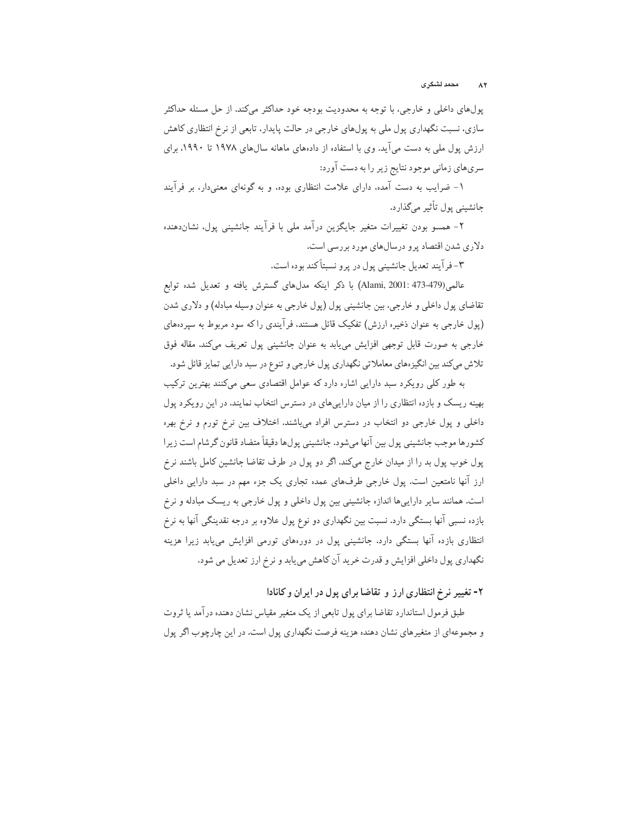یولهای داخلی و خارجی، با توجه به محدودیت بودجه خود حداکثر میکند. از حل مسئله حداکثر سازی، نسبت نگهداری پول ملی به پولهای خارجی در حالت پایدار، تابعی از نرخ انتظاری کاهش ارزش پول ملی به دست میآید. وی با استفاده از دادههای ماهانه سال های ۱۹۷۸ تا ۱۹۹۰، برای سریهای زمانی موجود نتایج زیر را به دست آورد:

۱– ضرایب به دست آمده. دارای علامت انتظاری بوده. و به گونهای معنیدار، بر فرآیند جانشینبي يول تأثير ميگذارد.

۲- همسو بودن تغییرات متغیر جایگزین درآمد ملی با فرآیند جانشینی یول، نشاندهنده دلاري شدن اقتصاد پرو درسال هاي مورد بررسي است.

۳- فرآیند تعدیل جانشینی پول در پرو نسبتاًکند بوده است.

.<br>عالمي(479-473 Alami, 2001: 473) با ذكر اينكه مدلهاي گسترش يافته و تعديل شده توابع تقاضای پول داخلی و خارجی، بین جانشینی پول (پول خارجی به عنوان وسیله مبادله) و دلاری شدن (پول خارجی به عنوان ذخیره ارزش) تفکیک قائل هستند، فرآیندی راکه سود مربوط به سیردههای خارجي به صورت قابل توجهي افزايش مي يابد به عنوان جانشيني يول تعريف ميكند. مقاله فوق تلاش میکند بین انگیزههای معاملاتی نگهداری پول خارجی و تنوع در سبد دارایی تمایز قائل شود.

به طور کلی رویکرد سبد دارایی اشاره دارد که عوامل اقتصادی سعی میکنند بهترین ترکیب بهینه ریسک و بازده انتظاری را از میان داراییهای در دسترس انتخاب نمایند. در این رویکرد پول داخلی و پول خارجی دو انتخاب در دسترس افراد میباشند. اختلاف بین نرخ تورم و نرخ بهره كشورها موجب جانشيني يول بين آنها مىشود. جانشيني يولها دقيقاً متضاد قانون گرشام است زيرا پول خوب پول بد را از میدان خارج میکند. اگر دو پول در طرف تقاضا جانشین کامل باشند نرخ ارز آنها نامتعین است. پول خارجی طرفهای عمده تجاری یک جزء مهم در سبد دارایی داخلی است. همانند سایر داراییها اندازه جانشینی بین پول داخلی و پول خارجی به ریسک مبادله و نرخ بازده نسبی آنها بستگی دارد. نسبت بین نگهداری دو نوع پول علاوه بر درجه نقدینگی آنها به نرخ انتظاری بازده آنها بستگی دارد. جانشینی پول در دورههای تورمی افزایش مییابد زیرا هزینه نگهداري يول داخلي افزايش و قدرت خريد آن كاهش مي يابد و نرخ ارز تعديل مي شود.

۲- تغییر نرخ انتظاری ارز و تقاضا برای پول در ایران و کانادا

طبق فرمول استاندارد تقاضا برای پول تابعی از یک متغیر مقیاس نشان دهنده درآمد یا ثروت و مجموعهای از متغیرهای نشان دهنده هزینه فرصت نگهداری پول است. در این چارچوب اگر پول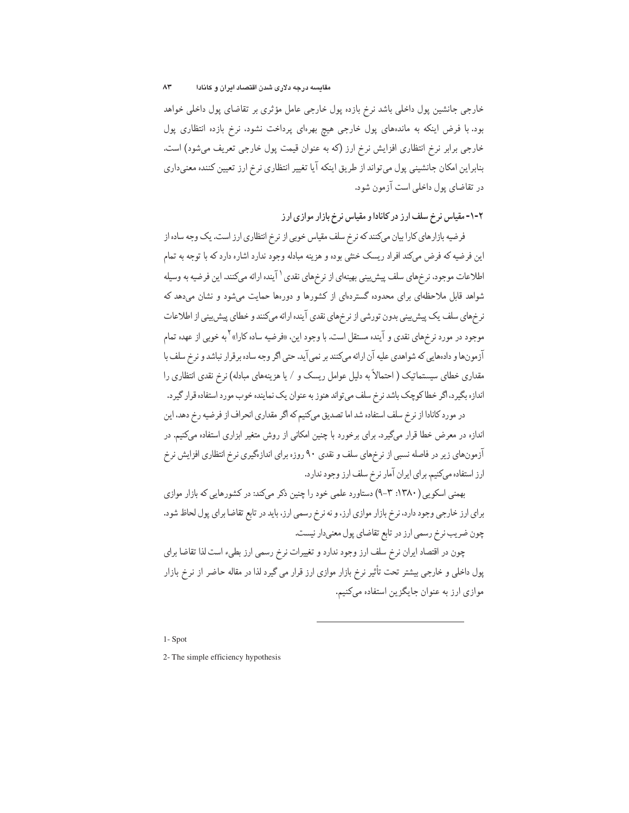خارجي جانشين يول داخلي باشد نرخ بازده يول خارجي عامل مؤثري بر تقاضاي يول داخلي خواهد بود. با فرض اینکه به ماندههای پول خارجی هیچ بهرهای پرداخت نشود، نرخ بازده انتظاری پول خارجي برابر نرخ انتظاري افزايش نرخ ارز (كه به عنوان قيمت يول خارجي تعريف مي شود) است. بنابراین امکان جانشینی پول میتواند از طریق اینکه آیا تغییر انتظاری نرخ ارز تعیین کننده معنیداری در تقاضای یول داخلی است آزمون شود.

۰۱-۲- مقیاس نرخ سلف ارز در کانادا و مقیاس نرخ بازار موازی ارز

فرضیه بازارهای کارا بیان میکنند که نرخ سلف مقیاس خوبی از نرخ انتظاری ارز است. یک وجه ساده از این فرضیه که فرض میکند افراد ریسک خنثی بوده و هزینه مبادله وجود ندارد اشاره دارد که با توجه به تمام اطلاعات موجود، نرخهاي سلف پيش پيني بهينهاي از نرخهاي نقدي \ آينده ارائه ميكنند. اين فرضيه به وسيله .<br>شواهد قابل ملاحظهای برای محدوده گستردهای از کشورها و دورهها حمایت میشود و نشان میدهد که نرخمهاي سلف يک پيش بيني بدون تورشي از نرخمهاي نقدي آينده ارائه ميکنند و خطاي پيش بيني از اطلاعات موجود در مورد نرخهای نقدی و آینده مستقل است. با وجود این، «فرضیه ساده کارا» <sup>۲</sup> به خوبی از عهده تمام آزمونها و دادهایی که شواهدی علیه آن ارائه میکنند بر نمی آید. حتی اگر وجه ساده برقرار نباشد و نرخ سلف با مقداری خطای سیستماتیک ( احتمالاً به دلیل عوامل ریسک و / یا هزینههای مبادله) نرخ نقدی انتظاری را اندازه بگیرد، اگر خطاکوچک باشد نرخ سلف می تواند هنوز به عنوان یک نماینده خوب مورد استفاده قرار گیرد.

در مورد كانادا از نرخ سلف استفاده شد اما تصديق مىكنيم كه اگر مقدارى انحراف از فرضيه رخ دهد، اين اندازه در معرض خطا قرار میگیرد. برای برخورد با چنین امکانی از روش متغیر ابزاری استفاده میکنیم. در آزمونهای زیر در فاصله نسبی از نرخهای سلف و نقدی ۹۰ روزه برای اندازهگیری نرخ انتظاری افزایش نرخ ارز استفاده میکنیم. برای ایران آمار نرخ سلف ارز وجود ندارد.

بهمنی اسکویی (۱۳۸۰: ۳-۹) دستاورد علمی خود را چنین ذکر میکند: در کشورهایی که بازار موازی برای ارز خارجی وجود دارد، نرِخ بازار موازی ارز، و نه نرخ رسمی ارز، باید در تابع تقاضا برای پول لحاظ شود. چون ضریب نرخ رسمی ارز در تابع تقاضای پول معنیدار نیست.

چون در اقتصاد ایران نرخ سلف ارز وجود ندارد و تغییرات نرخ رسمی ارز بطیء است لذا تقاضا برای پول داخلی و خارجی بیشتر تحت تأثیر نرخ بازار موازی ارز قرار می گیرد لذا در مقاله حاضر از نرخ بازار موازی ارز به عنوان جایگزین استفاده میکنیم.

1- Spot

2- The simple efficiency hypothesis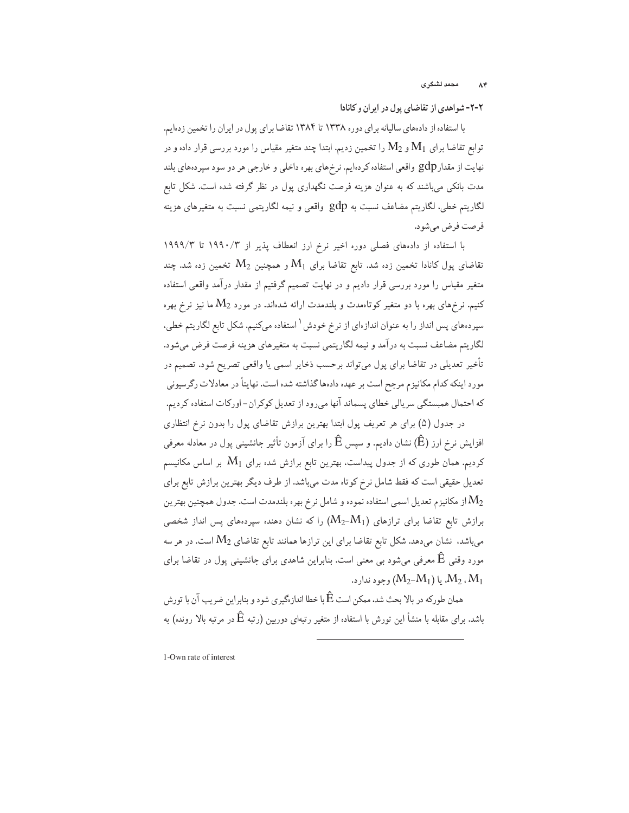٢-٢- شواهدي از تقاضاي يول در ايران وكانادا

با استفاده از دادههای سالیانه برای دوره ۱۳۳۸ تا ۱۳۸۴ تقاضا برای پول در ایران را تخمین زدهایم. توابع تقاضا برای  $\rm M_1$  و  $\rm M_2$  را تخمین زدیم. ابتدا چند متغیر مقیاس را مورد بررسی قرار داده و در نهایت از مقدار $\mathrm{gd}$  واقعی استفاده کردهایم. نرخهای بهره داخلی و خارجی هر دو سود سپردههای بلند مدت بانکی می باشند که به عنوان هزینه فرصت نگهداری یول در نظر گرفته شده است. شکل تابع لگاریتم خطی، لگاریتم مضاعف نسبت به gdp واقعی و نیمه لگاریتمی نسبت به متغیرهای هزینه فرصت فرض مي شود.

با استفاده از دادههای فصلی دوره اخیر نرخ ارز انعطاف پذیر از ۱۹۹۰/۳ تا ۱۹۹۹/۳ تقاضای پول کانادا تخمین زده شد. تابع تقاضا برای  $\rm M_1$  و همچنین  $\rm M_2$  تخمین زده شد. چند متغیر مقیاس را مورد بررسی قرار دادیم و در نهایت تصمیم گرفتیم از مقدار درآمد واقعی استفاده کنیم. نرخمهای بهره با دو متغیر کوتاهمدت و بلندمدت ارائه شدهاند. در مورد  $M_2$  ما نیز نرخ بهره سیردههای پس انداز را به عنوان اندازهای از نرخ خودش <sup>۱</sup> استفاده میکنیم. شکل تابع لگاریتم خطی، لگاریتم مضاعف نسبت به درآمد و نیمه لگاریتمی نسبت به متغیرهای هزینه فرصت فرض میشود. .<br>تأخیر تعدیلی در تقاضا برای پول میتواند برحسب ذخایر اسمی یا واقعی تصریح شود. تصمیم در مورد اینکه کدام مکانیزم مرجح است بر عهده دادهها گذاشته شده است. نهایتاً در معادلات رگرسیونی که احتمال همبستگی سریالی خطای پسماند آنها میرود از تعدیل کوکران-اورکات استفاده کردیم.

در جدول (۵) برای هر تعریف پول ابتدا بهترین برازش تقاضای پول را بدون نرخ انتظاری افزایش نرخ ارز (Ê) نشان دادیم. و سیس Ê را برای آزمون تأثیر جانشینی یول در معادله معرفی کردیم. همان طوری که از جدول پیداست، بهترین تابع برازش شده برای  $\rm M_1$  بر اساس مکانیسم تعدیل حقیقی است که فقط شامل نرخ کوتاه مدت میباشد. از طرف دیگر بهترین برازش تابع برای از مکانیزم تعدیل اسمی استفاده نموده و شامل نرخ بهره بلندمدت است. جدول همچنین بهترین  $M_2$ برازش تابع تقاضا برای ترازهای (M2–M $_2$ ) را که نشان دهنده سپردههای پس انداز شخصی میباشد، نشان میدهد. شکل تابع تقاضا برای این ترازها همانند تابع تقاضای  $M_2$  است. در هر سه مورد وقتبی  $\hat{\mathrm{E}}$  معرفی میشود بی معنی است. بنابراین شاهدی برای جانشینی پول در تقاضا برای .  $M_2$ ، یا  $(M_2$ – $M_1$ ) و جو د ندار د  $M_2$ 

همان طورکه در بالا بحث شد، ممکن است Ê با خطا اندازهگیری شود و بنابراین ضریب آن با تورش باشد. برای مقابله با منشأ این تورش با استفاده از متغیر رتبهای دوربین (رتبه Ê در مرتبه بالا رونده) به

1-Own rate of interest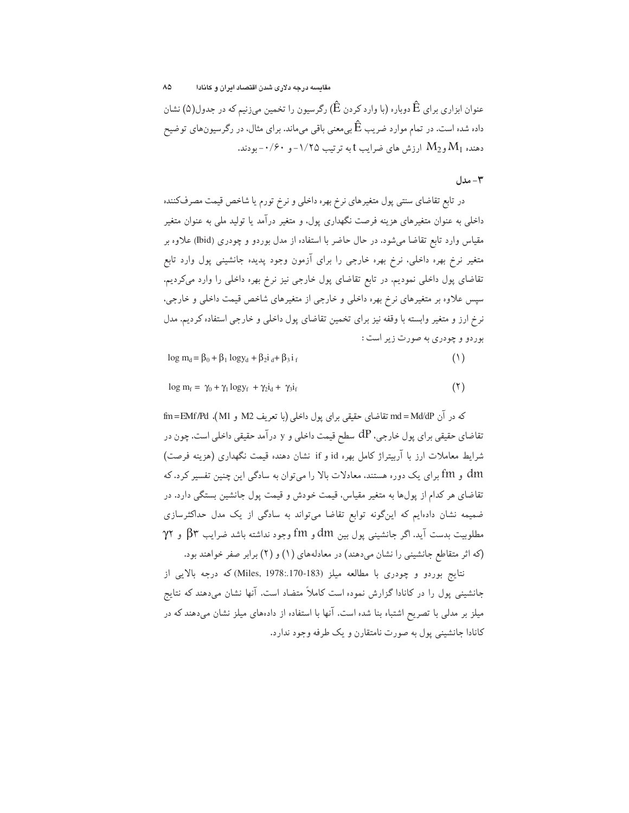عنوان ابزاری برای Ê دوباره (با وارد کردن Ê $\rm (\hat{E}$  رگرسیون را تخمین می;نیم که در جدول(۵) نشان داده شده است. در تمام موارد ضریب Ê بیمعنی باقی میماند. برای مثال، در رگرسیونهای توضیح دهنده  $M_1$ و $M_2$  ارزش های ضرایب t به ترتیب ۱/۲۵–و ۱٬۶۰–بودند.

## $-L - T$

در تابع تقاضای سنتی پول متغیرهای نرخ بهره داخلی و نرخ تورم یا شاخص قیمت مصرفکننده داخلی به عنوان متغیرهای هزینه فرصت نگهداری پول. و متغیر درآمد یا تولید ملی به عنوان متغیر مقیاس وارد تابع تقاضا میشود. در حال حاضر با استفاده از مدل بوردو و چودری (Ibid) علاوه بر متغیر نرخ بهره داخلی، نرخ بهره خارجی را برای آزمون وجود پدیده جانشینی پول وارد تابع تقاضای پول داخلی نمودیم. در تابع تقاضای پول خارجی نیز نرخ بهره داخلی را وارد میکردیم. سپس علاوه بر متغیرهای نرخ بهره داخلی و خارجی از متغیرهای شاخص قیمت داخلی و خارجی، نرخ ارز و متغیر وابسته با وقفه نیز برای تخمین تقاضای پول داخلی و خارجی استفاده کردیم. مدل بوردو و چودري به صورت زير است :

$$
\log m_d = \beta_0 + \beta_1 \log y_d + \beta_2 i_d + \beta_3 i_f \tag{1}
$$

$$
\log m_{f} = \gamma_{0} + \gamma_{1} \log y_{f} + \gamma_{2} i_{d} + \gamma_{3} i_{f}
$$
\n
$$
\tag{1}
$$

كه در آن md = Md/dP تقاضاي حقيقي براي پول داخلي (با تعريف M2 و fm=EMf/Pd .(M1 تقاضای حقیقی برای پول خارجی، dP سطح قیمت داخلی و y درآمد حقیقی داخلی است. چون در شرایط معاملات ارز با آربیتراژ کامل بهره id و if نشان دهنده قیمت نگهداری (هزینه فرصت) dm و fm برای یک دوره هستند، معادلات بالا را میتوان به سادگی این چنین تفسیر کرد. که تقاضای هر کدام از پولها به متغیر مقیاس، قیمت خودش و قیمت پول جانشین بستگی دارد. در ضمیمه نشان دادهایم که اینگونه توابع تقاضا میتواند به سادگی از یک مدل حداکثرسازی مطلوبیت بدست آید. اگر جانشینی پول بین dm و fm وجود نداشته باشد ضرایب  $\beta$ ۲ و  $\gamma$ ۲ (كه اثر متقاطع جانشینی را نشان می دهند) در معادلههای (١) و (٢) برابر صفر خواهند بود.

نتايج بوردو و چودري با مطالعه ميلز (183-170:178 Miles, 1978) كه درجه بالايي از جانشینی پول را در کانادا گزارش نموده است کاملاً متضاد است. آنها نشان می،دهند که نتایج میلز بر مدلی با تصریح اشتباه بنا شده است. آنها با استفاده از دادههای میلز نشان میدهند که در کانادا جانشینی پول به صورت نامتقارن و یک طرفه وجود ندارد.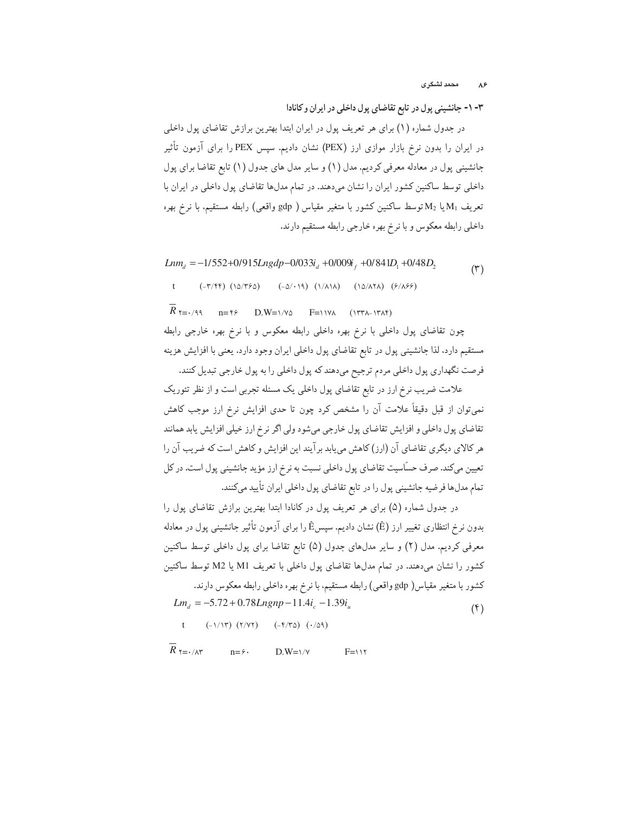محمد لشگر ی  $\Lambda$ ۶

٣- ١- جانشینی پول در تابع تقاضای پول داخلی در ایران و کانادا

در جدول شماره (۱) برای هر تعریف پول در ایران ابتدا بهترین برازش تقاضای پول داخلی در ایران را بدون نرخ بازار موازی ارز (PEX) نشان دادیم. سیس PEX را برای آزمون تأثیر جانشینی پول در معادله معرفی کردیم. مدل (١) و سایر مدل های جدول (١) تابع تقاضا برای پول داخلی توسط ساکنین کشور ایران را نشان میدهند. در تمام مدلها تقاضای پول داخلی در ایران با تعریف M1 یا M2توسط ساکنین کشور با متغیر مقیاس ( gdp واقعی) رابطه مستقیم، با نرخ بهره داخلي رابطه معكوس وبا نرخ بهره خارجي رابطه مستقيم دارند.

 $Lnm_d = -1/552+0/915Lngdp - 0/033i_d + 0/009i_f + 0/841D_1 + 0/48D_2$  $(\tau)$ 

 $(-\gamma/\gamma\gamma)$   $(10/\gamma\gamma\delta)$   $(-\delta/\cdot19)$   $(1/\lambda1\lambda)$   $(10/\lambda\gamma\lambda)$   $(\gamma/\lambda\gamma\gamma)$  $\mathbf{t}$ 

چون تقاضای پول داخلی با نرخ بهره داخلی رابطه معکوس و با نرخ بهره خارجی رابطه مستقیم دارد، لذا جانشینی پول در تابع تقاضای پول داخلی ایران وجود دارد. یعنی با افزایش هزینه فرصت نگهداري پول داخلي مردم ترجيح ميدهند كه پول داخلي را به پول خارجي تبديل كنند.

علامت ضریب نرخ ارز در تابع تقاضای پول داخلی یک مسئله تجربی است و از نظر تئوریک نمیتوان از قبل دقیقاً علامت آن را مشخص کرد چون تا حدی افزایش نرخ ارز موجب کاهش تقاضای پول داخلی و افزایش تقاضای پول خارجی میشود ولی اگر نرخ ارز خیلی افزایش یابد همانند هر كالاي ديگري تقاضاي آن (ارز) كاهش مي يابد برآيند اين افزايش و كاهش است كه ضريب آن را تعیین میکند. صرف حسّاسیت تقاضای پول داخلی نسبت به نرخ ارز مؤید جانشینی پول است. در کل تمام مدلها فرضيه جانشيني يول را در تابع تقاضاي يول داخلي ايران تأييد مىكنند.

در جدول شماره (۵) برای هر تعریف پول در کانادا ابتدا بهترین برازش تقاضای پول را بدون نرخ انتظاری تغییر ارز (Ê) نشان دادیم. سیسÊ را برای آزمون تأثیر جانشینی پول در معادله معرفی کردیم. مدل (۲) و سایر مدلهای جدول (۵) تابع تقاضا برای پول داخلی توسط ساکنین كشور را نشان مىدهند. در تمام مدلها تقاضاى يول داخلى با تعريف M1 يا M2 توسط ساكنين كشور با متغير مقياس( gdp واقعي) رابطه مستقيم، با نرخ بهره داخلي رابطه معكوس دارند.  $Lm_d = -5.72 + 0.78Lngnp - 11.4i_c - 1.39i_u$  $(\mathfrak{f})$ 

 $(-1/17) (7/17)$   $(-5/70) (0.69)$  $t$ 

 $\overline{R}$   $\tau = \frac{1}{\sqrt{2}}$  $n = \frac{1}{2}$ .  $D.W=\frac{1}{Y}$  $F=115$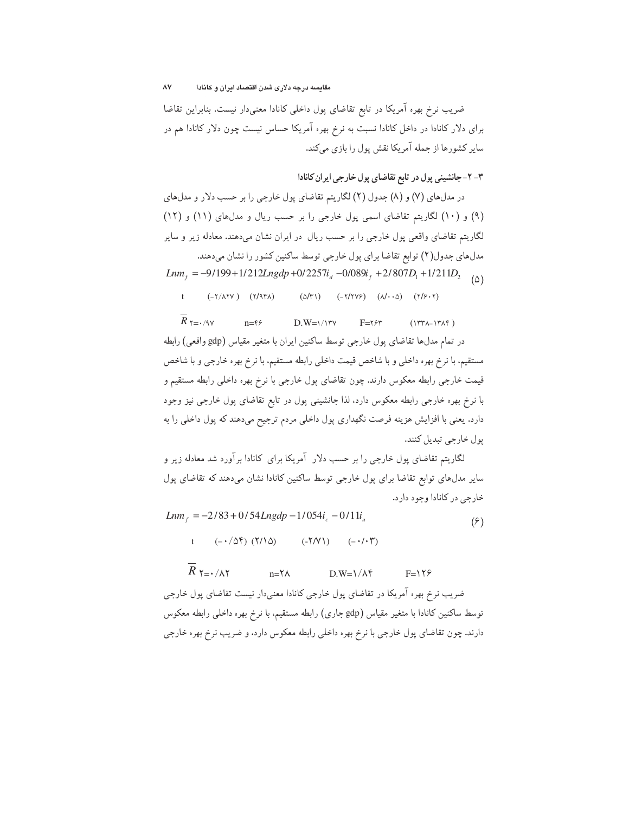ضریب نرخ بهره آمریکا در تابع تقاضای پول داخلی کانادا معنیدار نیست. بنابراین تقاضا برای دلار کانادا در داخل کانادا نسبت به نرخ بهره آمریکا حساس نیست چون دلار کانادا هم در سایر کشورها از جمله آمریکا نقش پول را بازی میکند.

٣- ٢- جانشینی پول در تابع تقاضای پول خارجی ایران کانادا

در مدلهای (۷) و (۸) جدول (۲) لگاریتم تقاضای پول خارجی را بر حسب دلار و مدلهای (۹) و (۱۰) لگاریتم تقاضای اسمی یول خارجی را بر حسب ریال و مدل های (۱۱) و (۱۲) لگاریتم تقاضای واقعی پول خارجی را بر حسب ریال در ایران نشان میدهند. معادله زیر و سایر مدلهای جدول(۲) توابع تقاضا برای پول خارجی توسط ساکنین کشور را نشان میدهند.

 $Lnm_f = -9/199 + 1/212Lngdp + 0/2257i_d - 0/089i_f + 2/807D_1 + 1/211D_2$  ( $\Delta$ )

 $t$  $(-7/\lambda 7Y)$   $(7/97\lambda)$  $(\Delta/\Upsilon)$   $(-\Upsilon/\Upsilon\Upsilon)$   $(\Lambda/\cdot\Omega)$   $(\Upsilon/\partial\cdot\Upsilon)$ 

 $R_{\tau=0.79V}$  $D.W=\frac{1}{\Upsilon}$  $n = \frac{6}{5}$  $F = Y$ ۶۳  $(157A-15A)$ در تمام مدلها تقاضاي پول خارجي توسط ساكنين ايران با متغير مقياس (gdp واقعي) رابطه مستقیم، با نرخ بهره داخلی و با شاخص قیمت داخلی رابطه مستقیم، با نرخ بهره خارجی و با شاخص قیمت خارجی رابطه معکوس دارند. چون تقاضای پول خارجی با نرخ بهره داخلی رابطه مستقیم و با نرخ بهره خارجی رابطه معکوس دارد، لذا جانشینی پول در تابع تقاضای پول خارجی نیز وجود دارد. یعنی با افزایش هزینه فرصت نگهداری پول داخلی مردم ترجیح میدهند که پول داخلی را به يول خارجي تبديل كنند.

لگاریتم تقاضای پول خارجی را بر حسب دلار آمریکا برای کانادا برآورد شد معادله زیر و سایر مدلهای توابع تقاضا برای پول خارجی توسط ساکنین کانادا نشان میدهند که تقاضای پول خارجي در کانادا وجود دار د.

 $Lnm_f = -2/83 + 0/54Lngdp - 1/054i_c - 0/11i_u$  $(\hat{z})$ 

t  $(-\cdot/\Delta f)$   $(Y/\Delta)$   $(-Y/Y)$   $(-\cdot/\cdot f')$ 

 $R \tau = \frac{1}{4} \lambda \tau$  $n = Y \Lambda$ 

 $D.W=\frac{1}{A}$  $F=159$ 

ضریب نرخ بهره آمریکا در تقاضای پول خارجی کانادا معنیدار نیست تقاضای پول خارجی توسط ساکنین کانادا با متغیر مقیاس (gdp جاری) رابطه مستقیم، با نرخ بهره داخلی رابطه معکوس دارند. چون تقاضاي پول خارجي با نرخ بهره داخلي رابطه معكوس دارد، و ضريب نرخ بهره خارجي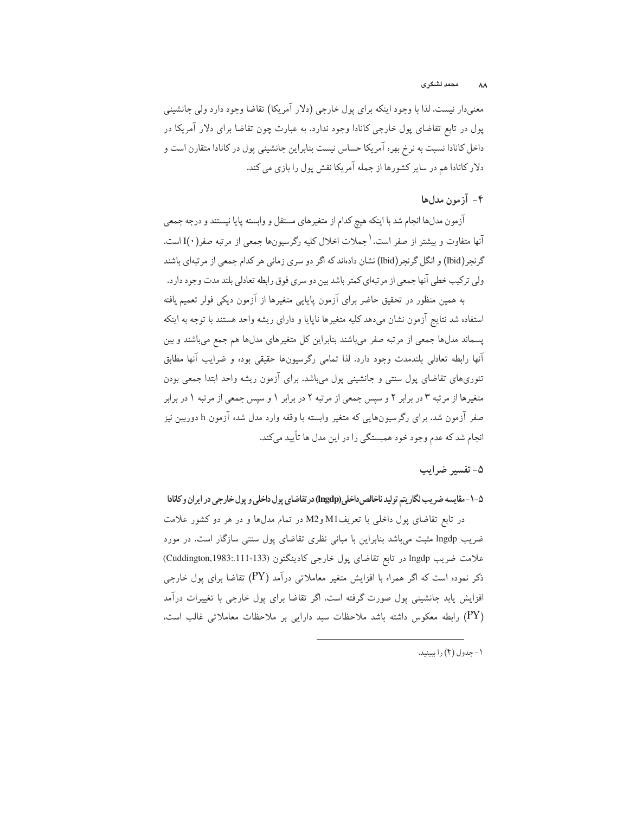#### محمد لشكري  $\Lambda\Lambda$

معنی دار نیست. لذا با وجود اینکه برای پول خارجی (دلار آمریکا) تقاضا وجود دارد ولی جانشینی پول در تابع تقاضای پول خارجی کانادا وجود ندارد. به عبارت چون تقاضا برای دلار آمریکا در داخل کانادا نسبت به نرخ بهره آمریکا حساس نیست بنابراین جانشینی پول در کانادا متقارن است و دلار كانادا هم در ساير كشورها از جمله آمريكا نقش پول را بازي مي كند.

# ۴ - آزمون مدلها

آزمون مدلها انجام شد با اينكه هيچ كدام از متغيرهاي مستقل و وابسته پايا نيستند و درجه جمعي آنها متفاوت و بیشتر از صفر است. ' جملات اخلال کلیه رگرسیونها جمعی از مرتبه صفر ( ·)I است. گرنجر(Ibid) و انگل گرنجر(Ibid) نشان دادهاند که اگر دو سری زمانی هر کدام جمعی از مرتبهای باشند ولي تركيب خطي آنها جمعي از مرتبهاي كمتر باشد بين دو سرى فوق رابطه تعادلي بلند مدت وجود دارد.

به همین منظور در تحقیق حاضر برای آزمون پایایی متغیرها از آزمون دیکی فولر تعمیم یافته استفاده شد نتايج آزمون نشان مىدهد كليه متغيرها ناپايا و داراى ريشه واحد هستند با توجه به اينكه یسماند مدلها جمعی از مرتبه صفر می،باشند بنابراین کل متغیرهای مدلها هم جمع می،باشند و بین آنها رابطه تعادلی بلندمدت وجود دارد. لذا تمامی رگرسیونها حقیقی بوده و ضرایب آنها مطابق تئوریهای تقاضای یول سنتی و جانشینی یول می باشد. برای آزمون ریشه واحد ابتدا جمعی بودن متغیرها از مرتبه ۳ در برابر ۲ و سپس جمعی از مرتبه ۲ در برابر ۱ و سپس جمعی از مرتبه ۱ در برابر صفر آزمون شد. برای رگرسیونهایی که متغیر وابسته با وقفه وارد مدل شده آزمون h دوربین نیز انجام شد که عدم وجود خود همبستگی را در این مدل ها تأیید میکند.

#### ۵- تفسیر ضرایب

۵-۱-مقايسه ضريب لگاريتم توليد ناخالص داخلي (Ingdp) در تقاضاي پول داخلي و پول خارجي در ايران و كانادا در تابع تقاضای پول داخلی با تعریفM1 وM2 در تمام مدلها و در هر دو کشور علامت ضریب lngdp مثبت می باشد بنابراین با مبانی نظری تقاضای یول سنتی سازگار است. در مورد علامت ضریب Ingdp در تابع تقاضای پول خارجی کادینگتون (Cuddington,1983:.111-133) ذکر نموده است که اگر همراه با افزایش متغیر معاملاتی درآمد (PY) تقاضا برای پول خارجی افزایش یابد جانشینی پول صورت گرفته است. اگر تقاضا برای پول خارجی با تغییرات درآمد (PY) رابطه معکوس داشته باشد ملاحظات سبد دارایی بر ملاحظات معاملاتی غالب است.

١-جدول (۴) را ببينيد.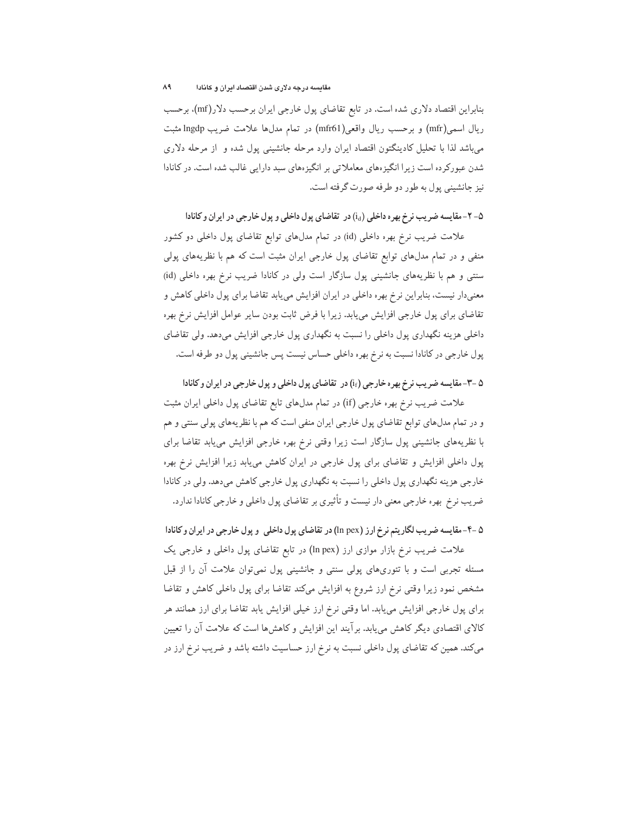بنابراین اقتصاد دلاری شده است. در تابع تقاضای پول خارجی ایران برحسب دلار(mf)، برحسب ريال اسمي(mfr) و برحسب ريال واقعي(mfr61) در تمام مدلها علامت ضريب lngdp مثبت میباشد لذا با تحلیل کادینگتون اقتصاد ایران وارد مرحله جانشینی پول شده و از مرحله دلاری شدن عبورکرده است زیرا انگیزههای معاملاتی بر انگیزههای سبد دارایی غالب شده است. در کانادا نيز جانشيني يول به طور دو طرفه صورت گرفته است.

۵- ۲-مقایسه ضریب نرخ بهره داخلی (id) در تقاضای پول داخلی و پول خارجی در ایران و کانادا

علامت ضریب نرخ بهره داخلی (id) در تمام مدلهای توابع تقاضای پول داخلی دو کشور منفی و در تمام مدلهای توابع تقاضای پول خارجی ایران مثبت است که هم با نظریههای پولی سنتی و هم با نظریههای جانشینی پول سازگار است ولی در کانادا ضریب نرخ بهره داخلی (id) معنیدار نیست، بنابراین نرخ بهره داخلی در ایران افزایش مییابد تقاضا برای پول داخلی کاهش و تقاضای برای پول خارجی افزایش میbبابد. زیرا با فرض ثابت بودن سایر عوامل افزایش نرخ بهره داخلي هزينه نگهداري پول داخلي را نسبت به نگهداري پول خارجي افزايش ميدهد. ولي تقاضاي پول خارجي در كانادا نسبت به نرخ بهره داخلي حساس نيست پس جانشيني پول دو طرفه است.

۵ -۳-مقایسه ضریب نرخ بهره خارجی (i<sub>f</sub>) در تقاضای پول داخلی و پول خارجی در ایران و کانادا

علامت ضریب نرخ بهره خارجی (if) در تمام مدلهای تابع تقاضای پول داخلی ایران مثبت و در تمام مدلهای توابع تقاضای پول خارجی ایران منفی است که هم با نظریههای پولی سنتی و هم با نظریههای جانشینی پول سازگار است زیرا وقتی نرخ بهره خارجی افزایش می یابد تقاضا برای پول داخلی افزایش و تقاضای برای پول خارجی در ایران کاهش می یابد زیرا افزایش نرخ بهره خارجي هزينه نگهداري پول داخلي را نسبت به نگهداري پول خارجي كاهش مي دهد. ولي در كانادا ضریب نرخ بهره خارجی معنی دار نیست و تأثیری بر تقاضای پول داخلی و خارجی کانادا ندارد.

۵ -۴- مقایسه ضریب لگاریتم نرخ ارز (In pex) در تقاضای پول داخلی و پول خارجی در ایران و کانادا علامت ضریب نرخ بازار موازی ارز (ln pex) در تابع تقاضای پول داخلی و خارجی یک مسئله تجربی است و با تئوریهای پولی سنتی و جانشینی پول نمیتوان علامت آن را از قبل مشخص نمود زيرا وقتى نرخ ارز شروع به افزايش مىكند تقاضا براى پول داخلى كاهش و تقاضا برای پول خارجی افزایش می یابد. اما وقتی نرخ ارز خیلی افزایش یابد تقاضا برای ارز همانند هر کالای اقتصادی دیگر کاهش میbبابد. برآیند این افزایش و کاهشها است که علامت آن را تعیین میکند. همین که تقاضای پول داخلی نسبت به نرخ ارز حساسیت داشته باشد و ضریب نرخ ارز در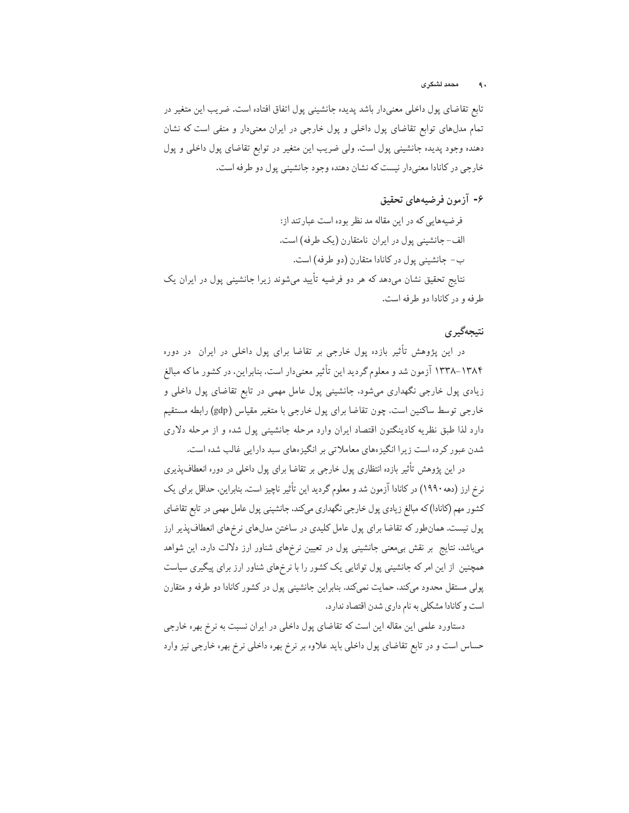#### محمد لشكري

تابع تقاضای پول داخلی معنیدار باشد پدیده جانشینی پول اتفاق افتاده است. ضریب این متغیر در تمام مدلهای توابع تقاضای پول داخلی و پول خارجی در ایران معنیدار و منفی است که نشان دهنده وجود پدیده جانشینی پول است. ولی ضریب این متغیر در توابع تقاضای پول داخلی و پول خارجي در كانادا معنىدار نيست كه نشان دهنده وجود جانشيني پول دو طرفه است.

## ۶- آزمون فرضيههاي تحقيق

فرضیههایی که در این مقاله مد نظر بوده است عبارتند از: الف-جانشینی پول در ایران نامتقارن (یک طرفه) است. ب- جانشینی پول در کانادا متقارن (دو طرفه) است. نتایج تحقیق نشان می،دهد که هر دو فرضیه تأیید می،شوند زیرا جانشینی پول در ایران یک طرفه و در کانادا دو طرفه است.

# نتىجەگېرى

در این یژوهش تأثیر بازده یول خارجی بر تقاضا برای یول داخلی در ایران ًدر دوره ۱۳۸۴–۱۳۳۸ آزمون شد و معلوم گردید این تأثیر معنیدار است. بنابراین، در کشور ماکه مبالغ زیادی یول خارجی نگهداری می شود، جانشینی پول عامل مهمی در تابع تقاضای پول داخلی و خارجي توسط ساكنين است. چون تقاضا براي يول خارجي با متغير مقياس (gdp) رابطه مستقيم دارد لذا طبق نظریه کادینگتون اقتصاد ایران وارد مرحله جانشینی پول شده و از مرحله دلاری شدن عبور کرده است زیرا انگیزههای معاملاتی بر انگیزههای سبد دارایی غالب شده است.

در این پژوهش تأثیر بازده انتظاری پول خارجی بر تقاضا برای پول داخلی در دوره انعطاف پذیری نرخ ارز (دهه ۱۹۹۰) در کانادا آزمون شد و معلوم گردید این تأثیر ناچیز است. بنابراین، حداقل برای یک کشور مهم (کانادا) که مبالغ زیادی یول خارجی نگهداری میکند، جانشینی یول عامل مهمی در تابع تقاضای یول نیست. همانطور که تقاضا برای پول عامل کلیدی در ساختن مدلهای نرخهای انعطاف پذیر ارز میباشد. نتایج بر نقش به معنی جانشینی پول در تعیین نرخهای شناور ارز دلالت دارد. این شواهد همچنین از این امر که جانشینی پول توانایی یک کشور را با نرخهای شناور ارز برای پیگیری سیاست پولی مستقل محدود میکند، حمایت نمیکند. بنابراین جانشینی پول در کشور کانادا دو طرفه و متقارن است و کانادا مشکلی به نام داری شدن اقتصاد ندارد.

دستاورد علمی این مقاله این است که تقاضای پول داخلی در ایران نسبت به نرخ بهره خارجی حساس است و در تابع تقاضای پول داخلی باید علاوه بر نرخ بهره داخلی نرخ بهره خارجی نیز وارد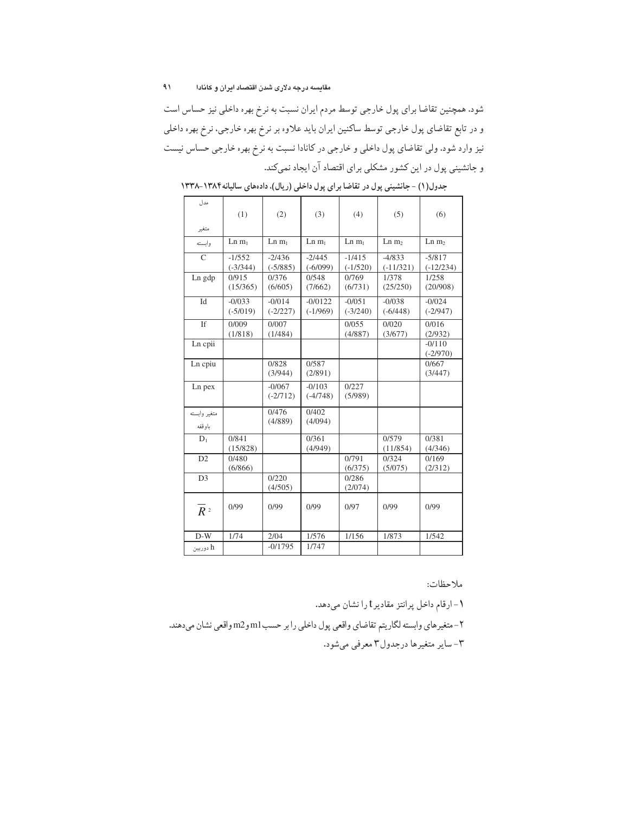شود. همچنین تقاضا برای پول خارجی توسط مردم ایران نسبت به نرخ بهره داخلی نیز حساس است و در تابع تقاضای پول خارجی توسط ساکنین ایران باید علاوه بر نرخ بهره خارجی، نرخ بهره داخلی نیز وارد شود. ولی تقاضای پول داخلی و خارجی در کانادا نسبت به نرخ بهره خارجی حساس نیست و جانشینی پول در این کشور مشکلی برای اقتصاد آن ایجاد نمیکند.

| مدل                    |                        |                        |                         |                        |                         |                         |
|------------------------|------------------------|------------------------|-------------------------|------------------------|-------------------------|-------------------------|
|                        | (1)                    | (2)                    | (3)                     | (4)                    | (5)                     | (6)                     |
| متغير                  |                        |                        |                         |                        |                         |                         |
| وابسته                 | $Ln m_1$               | $Ln m_1$               | $Ln m_1$                | $Ln m_1$               | Ln m <sub>2</sub>       | Ln m <sub>2</sub>       |
| $\mathcal{C}$          | $-1/552$<br>$(-3/344)$ | $-2/436$<br>$(-5/885)$ | $-2/445$<br>$(-6/099)$  | $-1/415$<br>$(-1/520)$ | $-4/833$<br>$(-11/321)$ | $-5/817$<br>$(-12/234)$ |
| Ln gdp                 | 0/915<br>(15/365)      | 0/376<br>(6/605)       | 0/548<br>(7/662)        | 0/769<br>(6/731)       | 1/378<br>(25/250)       | 1/258<br>(20/908)       |
| Id                     | $-0/033$<br>$(-5/019)$ | $-0/014$<br>$(-2/227)$ | $-0/0122$<br>$(-1/969)$ | $-0/051$<br>$(-3/240)$ | $-0/038$<br>$(-6/448)$  | $-0/024$<br>$(-2/947)$  |
| <b>If</b>              | 0/009<br>(1/818)       | 0/007<br>(1/484)       |                         | 0/055<br>(4/887)       | 0/020<br>(3/677)        | 0/016<br>(2/932)        |
| Ln cpii                |                        |                        |                         |                        |                         | $-0/110$<br>$(-2/970)$  |
| Ln cpiu                |                        | 0/828<br>(3/944)       | 0/587<br>(2/891)        |                        |                         | 0/667<br>(3/447)        |
| Ln pex                 |                        | $-0/067$<br>$(-2/712)$ | $-0/103$<br>$(-4/748)$  | 0/227<br>(5/989)       |                         |                         |
| متغير وابسته<br>باوقفه |                        | 0/476<br>(4/889)       | 0/402<br>(4/094)        |                        |                         |                         |
| $D_1$                  | 0/841<br>(15/828)      |                        | 0/361<br>(4/949)        |                        | 0/579<br>(11/854)       | 0/381<br>(4/346)        |
| D2                     | 0/480<br>(6/866)       |                        |                         | 0/791<br>(6/375)       | 0/324<br>(5/075)        | 0/169<br>(2/312)        |
| D <sub>3</sub>         |                        | 0/220<br>(4/505)       |                         | 0/286<br>(2/074)       |                         |                         |
| $R^2$                  | 0/99                   | 0/99                   | 0/99                    | 0/97                   | 0/99                    | 0/99                    |
| $D-W$                  | 1/74                   | 2/04                   | 1/576                   | 1/156                  | 1/873                   | 1/542                   |
| h دوربين               |                        | $-0/1795$              | 1/747                   |                        |                         |                         |

جدول(١) - جانشینی پول در تقاضا برای پول داخلی (ریال)، دادههای سالیانه ١٣٨۴-١٣٣٨

ملاحظات:

۱-ارقام داخل پرانتز مقادیر t را نشان میدهد. ۲- متغیرهای وابسته لگاریتم تقاضای واقعی پول داخلی را بر حسب m1 وm2 واقعی نشان میدهند. ٣-ساير متغيرها درجدول٣ معرفي ميشود.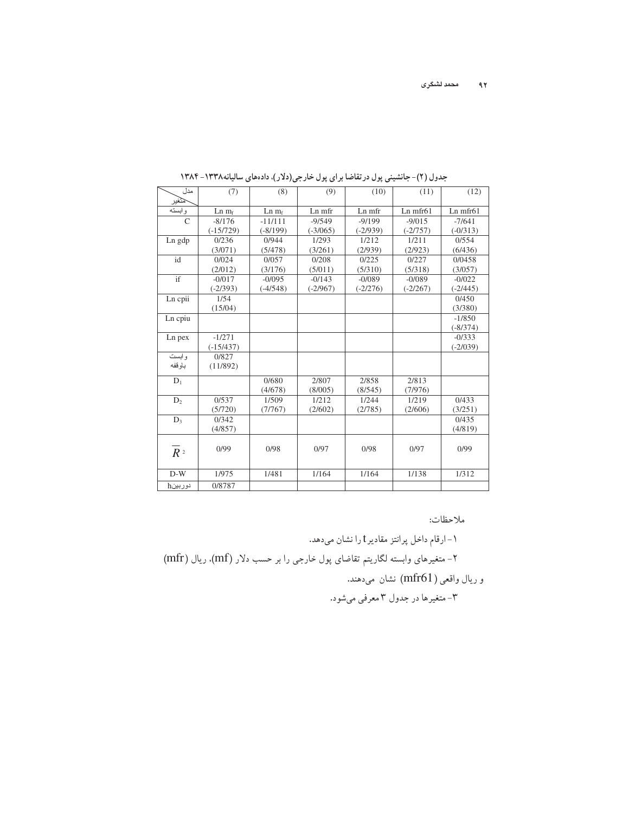| مدل            | (7)         | (8)         | (9)        | (10)       | (11)       | (12)       |
|----------------|-------------|-------------|------------|------------|------------|------------|
| تتنغير         |             |             |            |            |            |            |
| وابسته         | $Ln \, m_f$ | $Ln \, m_f$ | Ln mfr     | Ln mfr     | Ln mfr61   | Ln mfr61   |
| $\mathcal{C}$  | $-8/176$    | $-11/111$   | $-9/549$   | $-9/199$   | $-9/015$   | $-7/641$   |
|                | $(-15/729)$ | $(-8/199)$  | $(-3/065)$ | $(-2/939)$ | $(-2/757)$ | $(-0/313)$ |
| Ln gdp         | 0/236       | 0/944       | 1/293      | 1/212      | 1/211      | 0/5.54     |
|                | (3/071)     | (5/478)     | (3/261)    | (2/939)    | (2/923)    | (6/436)    |
| id             | 0/024       | 0/057       | 0/208      | 0/225      | 0/227      | 0/0458     |
|                | (2/012)     | (3/176)     | (5/011)    | (5/310)    | (5/318)    | (3/057)    |
| if             | $-0/017$    | $-0/095$    | $-0/143$   | $-0/089$   | $-0/089$   | $-0/022$   |
|                | $(-2/393)$  | $(-4/548)$  | $(-2/967)$ | $(-2/276)$ | $(-2/267)$ | $(-2/445)$ |
| Ln cpii        | 1/54        |             |            |            |            | 0/450      |
|                | (15/04)     |             |            |            |            | (3/380)    |
| Ln cpiu        |             |             |            |            |            | $-1/850$   |
|                |             |             |            |            |            | $(-8/374)$ |
| Ln pex         | $-1/271$    |             |            |            |            | $-0/333$   |
|                | $(-15/437)$ |             |            |            |            | $(-2/039)$ |
| و ابست         | 0/827       |             |            |            |            |            |
| باو قفه        | (11/892)    |             |            |            |            |            |
| $D_1$          |             | 0/680       | 2/807      | 2/858      | 2/813      |            |
|                |             | (4/678)     | (8/005)    | (8/545)    | (7/976)    |            |
| D <sub>2</sub> | 0/537       | 1/509       | 1/212      | 1/244      | 1/219      | 0/433      |
|                | (5/720)     | (7/767)     | (2/602)    | (2/785)    | (2/606)    | (3/251)    |
| $D_3$          | 0/342       |             |            |            |            | 0/435      |
|                | (4/857)     |             |            |            |            | (4/819)    |
|                | 0/99        | 0/98        | 0/97       | 0/98       | 0/97       | 0/99       |
| $R^2$          |             |             |            |            |            |            |
| $D-W$          | 1/975       | 1/481       | 1/164      | 1/164      | 1/138      | 1/312      |
| دور بینh       | 0/8787      |             |            |            |            |            |

جدول (۲) – جانشینی پول در تقاضا برای پول خارجی(دلار)، دادههای سالیانه۱۳۳۸ – ۱۳۸۴

ملاحظات:

%&+ W"t"6=X)BG [J dmfrb-3dmfb49!KW)-E R=># =!E&8=" gJ + %&W"dmfr61bWUG-

1+ W"WSU"\-%&8=" \J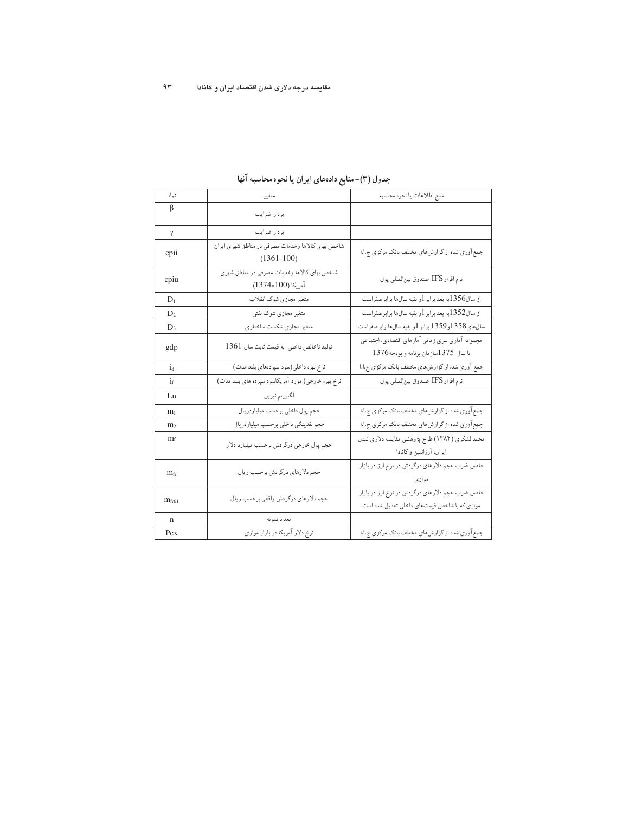| نماد           | متغير                                                             | منبع اطلاعات يا نحوه محاسبه                                                                     |
|----------------|-------------------------------------------------------------------|-------------------------------------------------------------------------------------------------|
| β              | بردار ضرايب                                                       |                                                                                                 |
| γ              | بردار ضرايب                                                       |                                                                                                 |
| cpii           | شاخص بهاي كالاها وخدمات مصرفي در مناطق شهري ايران<br>$(1361=100)$ | جمع آوري شده از گزارش هاي مختلف بانک مرکزي ج.ا.ا                                                |
| cpiu           | شاخص بهاي كالاها وخدمات مصرفي در مناطق شهري<br>آمريكا (100=1374)  | نرم افزار IFS صندوق بينالمللي پول                                                               |
| $D_1$          | متغیر مجازي شوک انقلاب                                            | از سال1356به بعد برابر 1و بقیه سال&ا برابرصفراست                                                |
| D <sub>2</sub> | متغیر مجازی شوک نفتی                                              | از سال1352به بعد برابر 1و بقیه سال%ا برابرصفراست                                                |
| $D_3$          | متغیر مجازي شكست ساختاري                                          | سال&ای1358و1359 برابر 1و بقیه سال&ا رابرصفراست                                                  |
| gdp            | تولید ناخالص داخلی به قیمت ثابت سال 1361                          | مجموعه آماري سري زماني آمارهاي اقتصادي. اجتماعي<br>تا سال 1375سازمان برنامه و بودجه1376         |
| $i_d$          | نرخ بهره داخلي(سود سپردههاي بلند مدت)                             | جمع آوری شده از گزارش،های مختلف بانک مرکزی ج.ا.ا                                                |
| $i_{\rm f}$    | نرخ بهره خارجي( مورد آمريكاسود سپرده هاي بلند مدت)                | نرم افزار IFS صندوق بين لمللي پول                                                               |
| Ln             | لگاريتم نپرين                                                     |                                                                                                 |
| m <sub>1</sub> | حجم پول داخلي برحسب ميلياردريال                                   | جمع آوری شده از گزارش،های مختلف بانک مرکزی ج.ا.ا                                                |
| m <sub>2</sub> | حجم نقدينگي داخلي برحسب ميلياردريال                               | جمع آوری شده از گزارش های مختلف بانک مرکزی ج.ا.ا                                                |
| $m_f$          | حجم پول خارجي درگردش برحسب ميليارد دلار                           | محمد لشکری (۱۳۸۴) طرح پژوهشی مقایسه دلاری شدن<br>ایران، آرژانتین و کانادا                       |
| $m_{fr}$       | حجم دلارهاي درگردش برحسب ريال                                     | حاصل ضرب حجم دلارهای درگردش در نرخ ارز در بازار                                                 |
| $m_{fr61}$     | حجم دلارهاي درگردش واقعي برحسب ريال                               | حاصل ضرب حجم دلارهای درگردش در نرخ ارز در بازار<br>موازی که با شاخص قیمتهای داخلی تعدیل شده است |
| n              | تعداد نمونه                                                       |                                                                                                 |
| Pex            | نرخ دلار آمریکا در بازار موازی                                    | جمع آوري شده از گزارش هاي مختلف بانک مرکزي ج.ا.ا                                                |

# جدول (٣)-منابع دادههای ایران یا نحوه محاسبه آنها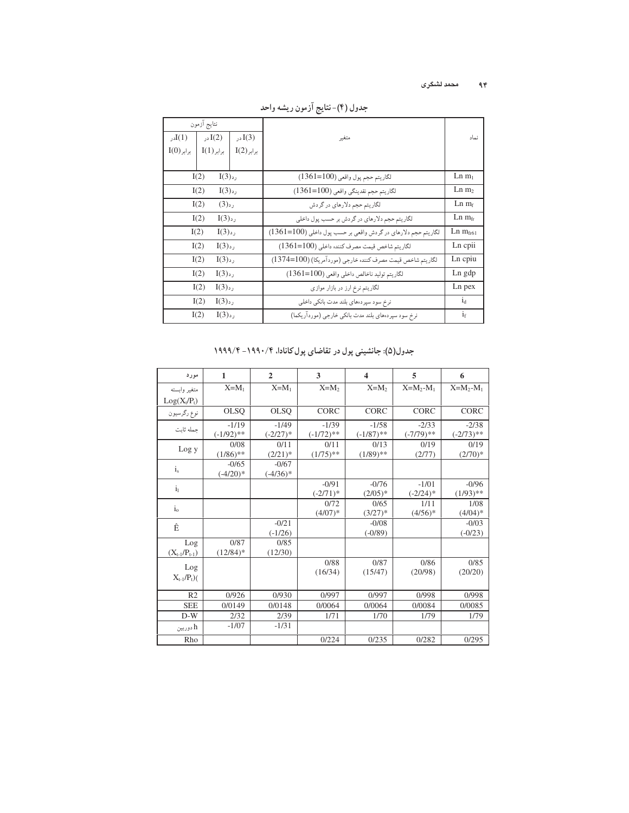| نتايج آزمون       |                       |              |                                                               |                       |
|-------------------|-----------------------|--------------|---------------------------------------------------------------|-----------------------|
| J(1)              | I(2)                  | I(3)         | متغبر                                                         | نماد                  |
| $I(0)$ برابر      | $\mathrm{I}(1)$ برابر | $I(2)$ برابر |                                                               |                       |
|                   |                       |              |                                                               |                       |
| I(2)<br>I(3)      |                       |              | لگاريتم حجم پول واقعي (100=1361)                              | Ln m <sub>1</sub>     |
|                   | I(2)                  | I(3)         | لكاريتم حجم نقدينكي واقعي (100=1361)                          | Ln m <sub>2</sub>     |
|                   | I(2)                  | $(3)$ ,      | لگاریتم حجم دلارهای در گردش                                   | $Ln \, m_f$           |
| I(2)<br>I(3)      |                       |              | لگاریتم حجم دلارهای در گردش بر حسب پول داخلی                  | $Ln \, m_{fr}$        |
| I(2)<br>$I(3)$ ,  |                       |              | لگاريتم حجم دلارهاي در گردش واقعي بر حسب پول داخلي (100=1361) | $\rm Ln~m_{\rm fr61}$ |
|                   | I(2)<br>$I(3)$ ,      |              | لكاريتم شاخص قيمت مصرف كننده داخلي (100=1361)                 | Ln cpii               |
|                   | I(2)<br>I(3)          |              | لكاريتم شاخص قيمت مصرف كننده خارجي (موردآمريكا) (100=1374)    | Ln cpiu               |
|                   | I(2)<br>I(3)          |              | لكاريتم توليد ناخالص داخلي واقعي (100=1361)                   | Ln gdp                |
| I(2)<br>$I(3)$ رد |                       |              | لگاريتم نرخ ارز در بازار موازي                                | Ln pex                |
| I(2)<br>$I(3)$ رد |                       |              | نرخ سود سپر دههای بلند مدت بانکی داخلی                        | $i_d$                 |
|                   | I(2)<br>$I(3)$ رد     |              | نرخ سود سپردههای بلند مدت بانکی خارجی (موردآریکما)            | $i_{\rm f}$           |
|                   |                       |              |                                                               |                       |

جدول (۴)-نتايج آزمون ريشه واحد

| جدول(۵): جانشینی پول در تقاضای پول کانادا، ۱۹۹۰/۴– ۱۹۹۹/۴ |  |
|-----------------------------------------------------------|--|
|-----------------------------------------------------------|--|

| مورد                | $\mathbf{1}$           | $\overline{2}$        | 3            | $\overline{\mathbf{4}}$ | 5            | 6            |
|---------------------|------------------------|-----------------------|--------------|-------------------------|--------------|--------------|
| متغير وابسته        | $X = M_1$              | $X = M_1$             | $X=M2$       | $X=M2$                  | $X=M_2-M_1$  | $X=M_2-M_1$  |
| $Log(X_t/P_t)$      |                        |                       |              |                         |              |              |
| نوع رگرسيون         | <b>OLSQ</b>            | <b>OLSQ</b>           | CORC         | <b>CORC</b>             | CORC         | CORC         |
| جمله ثابت           | $-1/19$                | $-1/49$               | $-1/39$      | $-1/58$                 | $-2/33$      | $-2/38$      |
|                     | $(-1/92)$ **           | $(-2/27)*$            | $(-1/72)$ ** | $(-1/87)$ **            | $(-7/79)$ ** | $(-2/73)$ ** |
| Log y               | 0/08                   | 0/11                  | 0/11         | 0/13                    | 0/19         | 0/19         |
|                     | $(1/86)$ **            | $(2/21)$ <sup>*</sup> | $(1/75)$ **  | $(1/89)$ **             | (2/77)       | $(2/70)*$    |
| $i_{s}$             | $-0/65$                | $-0/67$               |              |                         |              |              |
|                     | $(-4/20)*$             | $(-4/36)*$            |              |                         |              |              |
| $\mathbf{i}$        |                        |                       | $-0/91$      | $-0/76$                 | $-1/01$      | $-0/96$      |
|                     |                        |                       | $(-2/71)*$   | $(2/05)*$               | $(-2/24)$ *  | $(1/93)$ **  |
| $i_{\rm o}$         |                        |                       | 0/72         | 0/65                    | 1/11         | 1/08         |
|                     |                        |                       | $(4/07)*$    | $(3/27)*$               | $(4/56)*$    | $(4/04)*$    |
| Ê                   |                        | $-0/21$               |              | $-0/08$                 |              | $-0/03$      |
|                     |                        | $(-1/26)$             |              | $(-0/89)$               |              | $(-0/23)$    |
| Log                 | 0/87                   | 0/85                  |              |                         |              |              |
| $(X_{t-1}/P_{t-1})$ | $(12/84)$ <sup>*</sup> | (12/30)               |              |                         |              |              |
| Log                 |                        |                       | 0/88         | 0/87                    | 0/86         | 0/85         |
| $X_{t-1}/P_t$ )(    |                        |                       | (16/34)      | (15/47)                 | (20/98)      | (20/20)      |
|                     |                        |                       |              |                         |              |              |
| R <sub>2</sub>      | 0/926                  | 0/930                 | 0/997        | 0/997                   | 0/998        | 0/998        |
| <b>SEE</b>          | 0/0149                 | 0/0148                | 0/0064       | 0/0064                  | 0/0084       | 0/0085       |
| $D-W$               | 2/32                   | 2/39                  | 1/71         | 1/70                    | 1/79         | 1/79         |
| h دوربین            | $-1/07$                | $-1/31$               |              |                         |              |              |
| Rho                 |                        |                       | 0/224        | 0/235                   | 0/282        | 0/295        |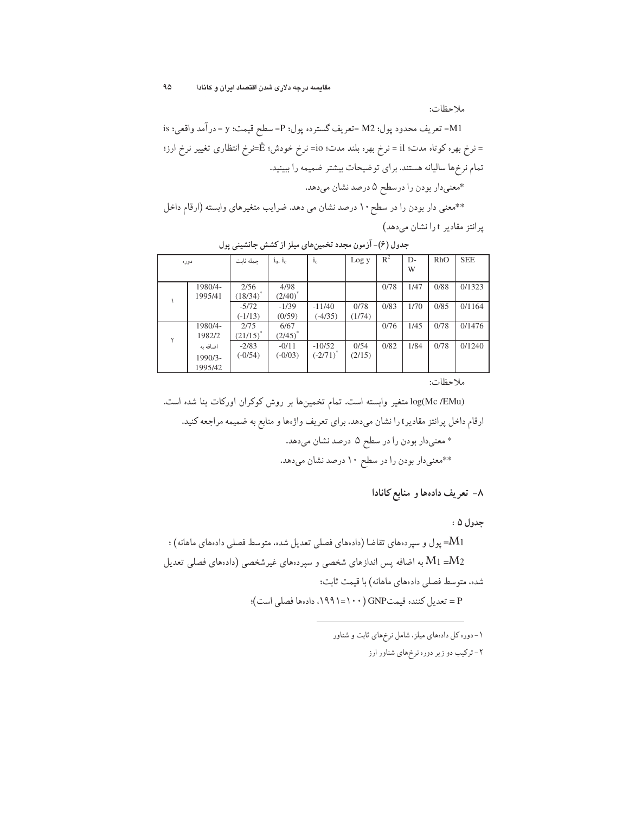ملاحظات:

|  | دوره     |             | $i_u$ . $i_c$ | $i_{c}$     | Log y  | $R^2$ | $D-$ | RhO  | <b>SEE</b> |
|--|----------|-------------|---------------|-------------|--------|-------|------|------|------------|
|  |          |             |               |             |        |       | W    |      |            |
|  |          |             |               |             |        |       |      |      |            |
|  | 1980/4-  | 2/56        | 4/98          |             |        | 0/78  | 1/47 | 0/88 | 0/1323     |
|  | 1995/41  | $(18/34)^*$ | $(2/40)^*$    |             |        |       |      |      |            |
|  |          | $-5/72$     | $-1/39$       | $-11/40$    | 0/78   | 0/83  | 1/70 | 0/85 | 0/1164     |
|  |          | $(-1/13)$   | (0/59)        | $(-4/35)$   | (1/74) |       |      |      |            |
|  | 1980/4-  | 2/75        | 6/67          |             |        | 0/76  | 1/45 | 0/78 | 0/1476     |
|  | 1982/2   | $(21/15)^*$ | $(2/45)^*$    |             |        |       |      |      |            |
|  | اضافه به | $-2/83$     | $-0/11$       | $-10/52$    | 0/54   | 0/82  | 1/84 | 0/78 | 0/1240     |
|  | 1990/3-  | $(-0/54)$   | $(-0/03)$     | $(-2/71)^*$ | (2/15) |       |      |      |            |
|  | 1995/42  |             |               |             |        |       |      |      |            |
|  |          |             |               |             |        |       |      |      |            |

جدول (۶)- آزمون مجدد تخمینهای میلز از کشش جانشینی پول

ملاحظات:

log(Mc /EMu) متغیر وابسته است. تمام تخمینها بر روش کوکران اورکات بنا شده است. ارقام داخل پرانتز مقادیرt را نشان میدهد. برای تعریف واژهها و منابع به ضمیمه مراجعه کنید. \* معنىدار بودن را در سطح ۵ درصد نشان مىدهد.

\*\*معنىدار بودن را در سطح ١٠ درصد نشان مىدهد.

۸- تعریف دادهها و منابع کانادا

جدول ۵ :

M1= یول و سپردههای تقاضا (دادههای فصلی تعدیل شده، متوسط فصلی دادههای ماهانه) ؛ به اضافه پس اندازهای شخصی و سپردههای غیرشخصی (دادههای فصلی تعدیل  $\rm M1$  = $\rm M2$ شده، متوسط فصلی دادههای ماهانه) با قیمت ثابت؛ P = تعديل كننده قيمتGNP (١٠٠ = ١٩٩١، دادهها فصلى است):

۱- دوره کل دادههای میلز، شامل نرخهای ثابت و شناور

۲- ترکیب دو زیر دوره نرخهای شناور ارز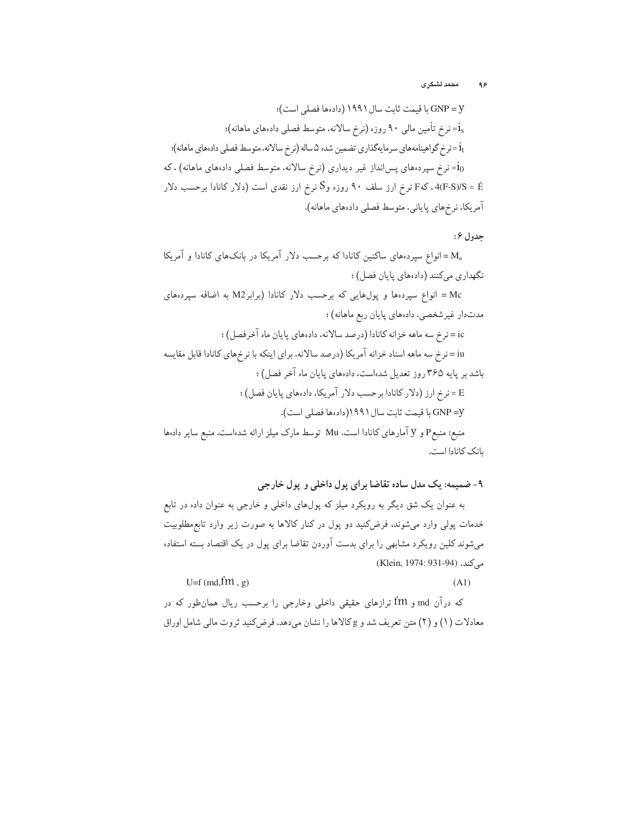۹۶ محمد لشکری

#### جدول ۶:

انواع سپردههای ساکنین کانادا که برحسب دلار آمریکا در بانکهای کانادا و آمریکا $\rm M_u$ نگهداري ميكنند (دادههاي پايان فصل) ؛

Mc = انواع سپردهها و پولهایی که برحسب دلار کانادا (برابرM2 به اضافه سپردههای مدتدار غیرشخصی، دادههای پایان ربع ماهانه) ؛

۹-ضمیمه: یک مدل ساده تقاضا برای پول داخلی و پول خارجی

به عنوان یک شق دیگر به رویکرد میلز که پولهای داخلی و خارجی به عنوان داده در تابع خدمات پولی وارد میشوند، فرضکنید دو پول در کنار کالاها به صورت زیر وارد تابعءطلوبیت میشوند کلین رویکرد مشابهی را برای بدست آوردن تقاضا برای پول در یک اقتصاد بسته استفاده می)کند. (Klein, 1974: 931-94)

U=f  $(md, fm, g)$  $(A1)$ که درآن md و fm ترازهای حقیقی داخلی وخارجی را برحسب ریال همانطور که در معادلات (١) و (٢) متن تعريف شد و g كالاها را نشان مىدهد. فرضكنيد ثروت مالي شامل اوراق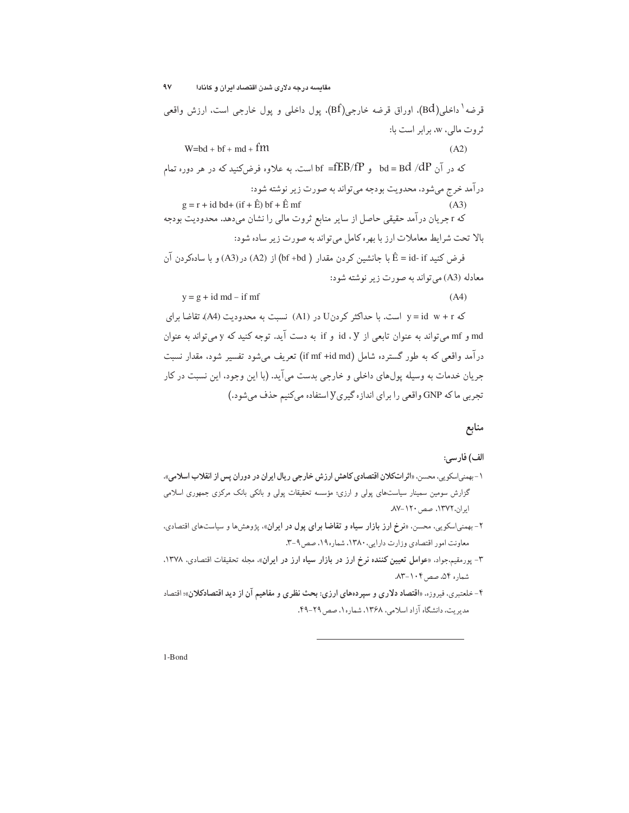$y = g + id$  md – if mf

قرضه ٰ داخلی(Bd). اوراق قرضه خارجی(Bf). پول داخلی و پول خارجی است. ارزش واقعی ثروت مالي، w، برابر است با:  $W = bd + bf + md + fm$  $(A2)$ که در آن bd = B $d$  /d $P$  و bf =fEB/fP است. به علاوه فرضکنید که در هر دوره تمام در آمد خرج میشود، محدویت بودجه میتواند به صورت زیر نوشته شود:  $g = r + id bdt + (if + \hat{E}) bf + \hat{E} mf$  $(A3)$ که r جریان درآمد حقیقی حاصل از سایر منابع ثروت مالی را نشان میدهد. محدودیت بودجه بالا تحت شرایط معاملات ارز با بهره کامل می تواند به صورت زیر ساده شود:

فرض كنيد Ê = id- if با جانشين كردن مقدار ( bf +bd) از (A2) در(A3) و با سادهكردن آن معادله (A3) می تواند به صورت زیر نوشته شود:

 $(A4)$ 

که y = id w + r است. با حداکثر کردنU در (A1) نسبت به محدودیت (A4)، تقاضا برای md و mf می تواند به عنوان تابعی از id ، y و id به دست آید. توجه کنید که y میتواند به عنوان درآمد واقعی که به طور گسترده شامل (if mf +id md) تعریف می شود تفسیر شود، مقدار نسبت .<br>جریان خدمات به وسیله پول@ای داخلی و خارجی بدست میآید. (با این وجود، این نسبت در کار تجربی ما که GNP واقعی را برای اندازه گیریV استفاده میکنیم حذف میشود.)

## منابع

#### الف) فارسى:

- ۱-بهمنی اسکویی، محسن، «اثراتکلان اقتصادی کاهش ارزش خارجی ریال ایران در دوران پس از انقلاب اسلامی». گزارش سومین سمینار سیاستهای یولی و ارزی؛ مؤسسه تحقیقات یولی و بانکی بانک مرکزی جمهوری اسلامی ايران،١٣٧٢، صص ١٢٠-٨٧.
- ۲- بهمنیاسکویی، محسن، «نوخ ا**رز بازار سیاه و تقاضا برای پول در ایران**»، پژوهشها و سیاستهای اقتصادی. معاونت امور اقتصادي وزارت دارايي، ١٣٨٠، شماره ١٩، صص ٩-٣.
- ۳- پورمقیم جواد. «عوامل تعیین کننده نرخ ارز در بازار سیاه ارز در ایران». مجله تحقیقات اقتصادی، ۱۳۷۸. شماره ۵۴، صص ۱۰۴–۸۳.
- ۴- خلعتبري، فيروزه، «اقتصاد دلاري و سپردههاي ارزي: بحث نظري و مفاهيم آن از ديد اقتصادكلان»؛ اقتصاد مدیریت، دانشگاه آزاد اسلامی، ۱۳۶۸، شماره ۱، صص ۲۹-۴۹.

1-Bond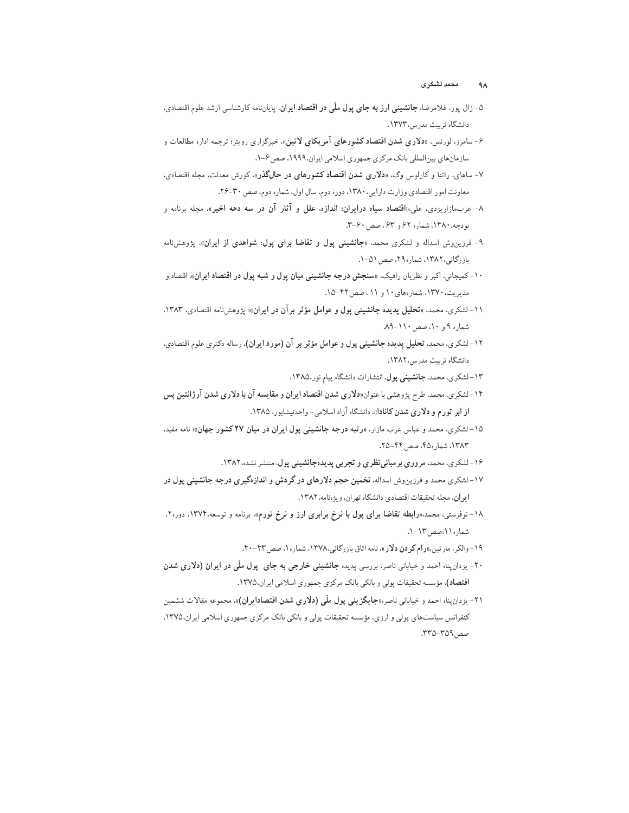محمد لشکر ی  $4A$ 

- ۵- زال پور، غلامرضا، جانشینی ارز به جای پول ملّی در اقتصاد ایران. پایاننامه کارشناسی ارشد علوم اقتصادی. دانشگاه تربیت مدرس،۱۳۷۳.
- ۶- سامرز، لورنس، «**دلاری شدن اقتصاد کشورهای آمریکای لاتین**». خبرگزاری رویتر؛ ترجمه اداره مطالعات و سازمان های بین المللی بانک مرکزی جمهوری اسلامی ایران،۱۹۹۹، صص۶-۱.
- ۷- ساهای، راتنا و کارلوس وگ، «**دلاری شدن اقتصاد کشورهای در حالگذر**»، کورش معدلت. مجله اقتصادی. معاونت امور اقتصادی وزارت دارایی، ١٣٨٠، دوره دوم، سال اول، شماره دوم، صص ٣٠-٢۶.
- ۸- عربمازاریزدی، علی.«اقتصاد سیاه درایران: اندازه، علل و آثار آن در سه دهه اخیر». مجله برنامه و بودجه، ۱۳۸۰، شماره ۶۲ و ۶۳، صص ۶۰-۳.
- ۹- فرزین وش اسداله و لشکری محمد. «جانشینی پول و تقاضا برای پول: شواهدی از ایران». پژوهشنامه بازرگانی،۱۳۸۲، شماره۲۹، صص ۵۱-۱.
- ۱۰- کمیجانی، اکبر و نظریان رافیک، «سنجش **درجه جانشینی میان پول و شبه پول در اقتصاد ایران**»، اقتصاد و مدیریت، ۱۳۷۰، شمارههای ۱۰ و ۱۱، صص۴۲-۱۵.
- ۱۱- لشکری، محمد. «تحلیل پدیده جانشینی پول و عوامل مؤثر برآن در ایران»؛ پژوهشنامه اقتصادی، ۱۳۸۳. شماره ۹ و ۱۰، صص۱۱۰-۸۹.
- ۱۲- لشکری، محمد، تحلیل پدیده جانشینی پول و عوامل مؤثر بر آن (مورد ایران)، رساله دکتری علوم اقتصادی، دانشگاه تربیت مدرس، ۱۳۸۲.
	- ۱۳- لشکري، محمد، جانشيني پول، انتشارات دانشگاه پيام نور،۱۳۸۵.
- ۱۴-لشکری، محمد، طرح پژوهشی با عنوان«**دلاری شدن اقتصاد ایران و مقایسه آن با دلاری شدن آرژانتین پس** از ابر تورم و دلاری شدن کانادا»، دانشگاه آزاد اسلامی- واحدنیشابور، ۱۳۸۵.
- ۱۵- لشکری، محمد و عباس عرب مازار، «رتبه درجه جانشینی پول ایران در میان ۲۷کشور جهان»: نامه مفید. ١٣٨٣، شماره ۴۵، صص ۴۴-٢۵.
	- ۱۶- لشکری، محمد، مروری برمبانی نظری و تجربی پدیدهجانشینی پول، منتشر نشده،۱۳۸۲.
- ۱۷- لشکری محمد و فرزینوش اسداله، تخمین حجم دلارهای در گردش و اندازهگیری درجه جانشینی پول در ايران، مجله تحقيقات اقتصادي دانشكاه تهران، ويؤهنامه،١٣٨٢.
- ۱۸- نوفرستی، محمد،«رابطه تقاضا برای پول با نرخ برابری ارز و نرخ تورم». برنامه و توسعه.۱۳۷۴. دوره۲. شماره ١ ا.صص١٣-١.
	- ١٩- والكر، مارتين، «رام كردن دلار»، نامه اتاق بازرگانى،١٣٧٨، شماره١، صص ٤٣-٤٠.
- ۲۰- پزدان پناه احمد و خیابانی ناصر، بررسی پدیده جانشینی خارجی به جای پول ملّی در ایران (دلاری شدن اقتصاد)، مؤسسه تحقیقات یولی و بانکی بانک مرکزی جمهوری اسلامی ایران،۱۳۷۵.
- ۲۱- یزدانپناه احمد و خیابانی ناصر،«جایگزینی پول ملّی (دلاری شدن اقتصادایران)». مجموعه مقالات ششمین کنفرانس سیاستهای پولی و ارزی، مؤسسه تحقیقات پولی و بانکی بانک مرکزی جمهوری اسلامی ایران.۱۳۷۵، صص ٣٥٩-٣٣٥.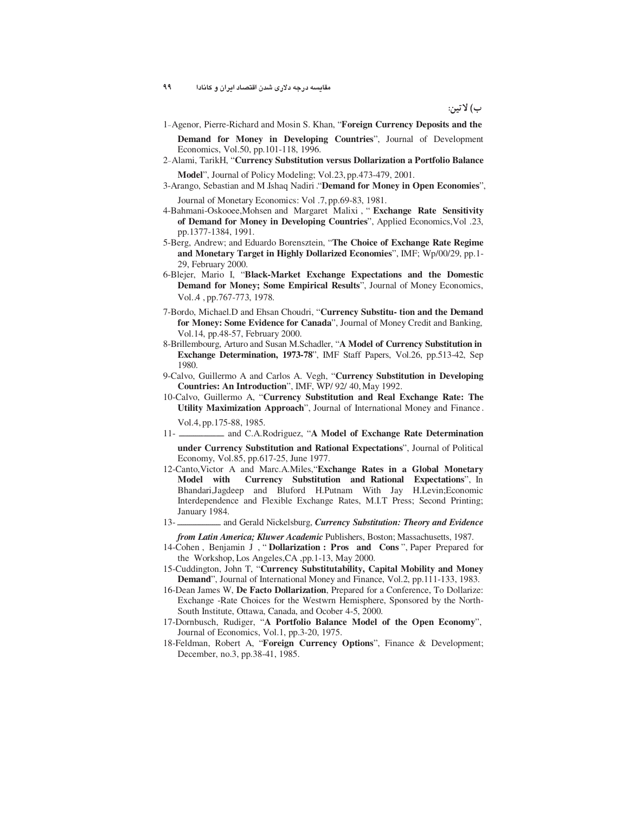ب) لاتين:

- 1-Agenor, Pierre-Richard and Mosin S. Khan, "Foreign Currency Deposits and the Demand for Money in Developing Countries", Journal of Development Economics, Vol.50, pp.101-118, 1996.
- 2-Alami, TarikH, "Currency Substitution versus Dollarization a Portfolio Balance Model", Journal of Policy Modeling; Vol.23, pp.473-479, 2001.
- 3-Arango, Sebastian and M Ishaq Nadiri . "Demand for Money in Open Economies", Journal of Monetary Economics: Vol. 7, pp.69-83, 1981.
- 4-Bahmani-Oskooee, Mohsen and Margaret Malixi, "Exchange Rate Sensitivity of Demand for Money in Developing Countries", Applied Economics, Vol. 23, pp.1377-1384, 1991.
- 5-Berg, Andrew; and Eduardo Borensztein, "The Choice of Exchange Rate Regime and Monetary Target in Highly Dollarized Economies", IMF; Wp/00/29, pp.1-29, February 2000.
- 6-Blejer, Mario I, "Black-Market Exchange Expectations and the Domestic Demand for Money; Some Empirical Results", Journal of Money Economics, Vol.4, pp.767-773, 1978.
- 7-Bordo, Michael.D and Ehsan Choudri, "Currency Substitu- tion and the Demand for Money: Some Evidence for Canada", Journal of Money Credit and Banking, Vol.14, pp.48-57, February 2000.
- 8-Brillembourg, Arturo and Susan M.Schadler, "A Model of Currency Substitution in Exchange Determination, 1973-78", IMF Staff Papers, Vol.26, pp.513-42, Sep 1980.
- 9-Calvo, Guillermo A and Carlos A. Vegh, "Currency Substitution in Developing **Countries: An Introduction**", IMF, WP/92/40, May 1992.
- 10-Calvo, Guillermo A, "Currency Substitution and Real Exchange Rate: The Utility Maximization Approach", Journal of International Money and Finance. Vol.4, pp.175-88, 1985.
- and C.A.Rodriguez, "A Model of Exchange Rate Determination  $11$ under Currency Substitution and Rational Expectations", Journal of Political Economy, Vol.85, pp.617-25, June 1977.
- 12-Canto, Victor A and Marc.A.Miles, "Exchange Rates in a Global Monetary Model with Currency Substitution and Rational Expectations", In Bhandari, Jagdeep and Bluford H.Putnam With Jay H.Levin; Economic Interdependence and Flexible Exchange Rates, M.I.T Press; Second Printing; January 1984.
- $13$ and Gerald Nickelsburg, Currency Substitution: Theory and Evidence
	- from Latin America; Kluwer Academic Publishers, Boston; Massachusetts, 1987.
- 14-Cohen, Benjamin J, "Dollarization: Pros and Cons", Paper Prepared for the Workshop, Los Angeles, CA, pp.1-13, May 2000.
- 15-Cuddington, John T, "Currency Substitutability, Capital Mobility and Money **Demand**", Journal of International Money and Finance, Vol.2, pp.111-133, 1983.
- 16-Dean James W, De Facto Dollarization, Prepared for a Conference, To Dollarize: Exchange -Rate Choices for the Westwrn Hemisphere, Sponsored by the North-South Institute, Ottawa, Canada, and Ocober 4-5, 2000.
- 17-Dornbusch, Rudiger, "A Portfolio Balance Model of the Open Economy", Journal of Economics, Vol.1, pp.3-20, 1975.
- 18-Feldman, Robert A, "Foreign Currency Options", Finance & Development; December, no.3, pp.38-41, 1985.